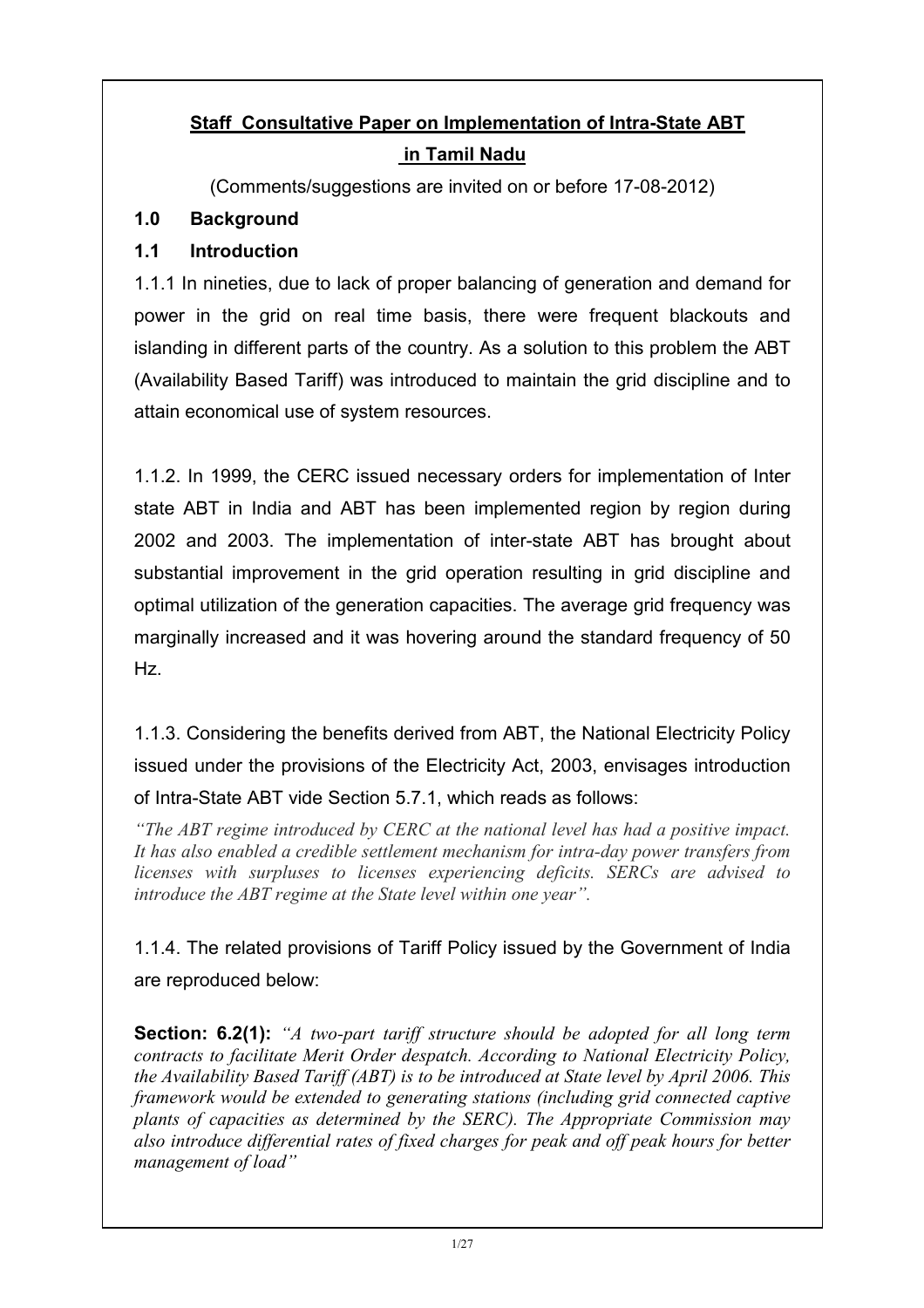# Staff Consultative Paper on Implementation of Intra-State ABT in Tamil Nadu

(Comments/suggestions are invited on or before 17-08-2012)

### 1.0 Background

## 1.1 Introduction

1.1.1 In nineties, due to lack of proper balancing of generation and demand for power in the grid on real time basis, there were frequent blackouts and islanding in different parts of the country. As a solution to this problem the ABT (Availability Based Tariff) was introduced to maintain the grid discipline and to attain economical use of system resources.

1.1.2. In 1999, the CERC issued necessary orders for implementation of Inter state ABT in India and ABT has been implemented region by region during 2002 and 2003. The implementation of inter-state ABT has brought about substantial improvement in the grid operation resulting in grid discipline and optimal utilization of the generation capacities. The average grid frequency was marginally increased and it was hovering around the standard frequency of 50 Hz.

1.1.3. Considering the benefits derived from ABT, the National Electricity Policy issued under the provisions of the Electricity Act, 2003, envisages introduction of Intra-State ABT vide Section 5.7.1, which reads as follows:

"The ABT regime introduced by CERC at the national level has had a positive impact. It has also enabled a credible settlement mechanism for intra-day power transfers from licenses with surpluses to licenses experiencing deficits. SERCs are advised to introduce the ABT regime at the State level within one year".

1.1.4. The related provisions of Tariff Policy issued by the Government of India are reproduced below:

**Section: 6.2(1):** "A two-part tariff structure should be adopted for all long term contracts to facilitate Merit Order despatch. According to National Electricity Policy, the Availability Based Tariff (ABT) is to be introduced at State level by April 2006. This framework would be extended to generating stations (including grid connected captive plants of capacities as determined by the SERC). The Appropriate Commission may also introduce differential rates of fixed charges for peak and off peak hours for better management of load"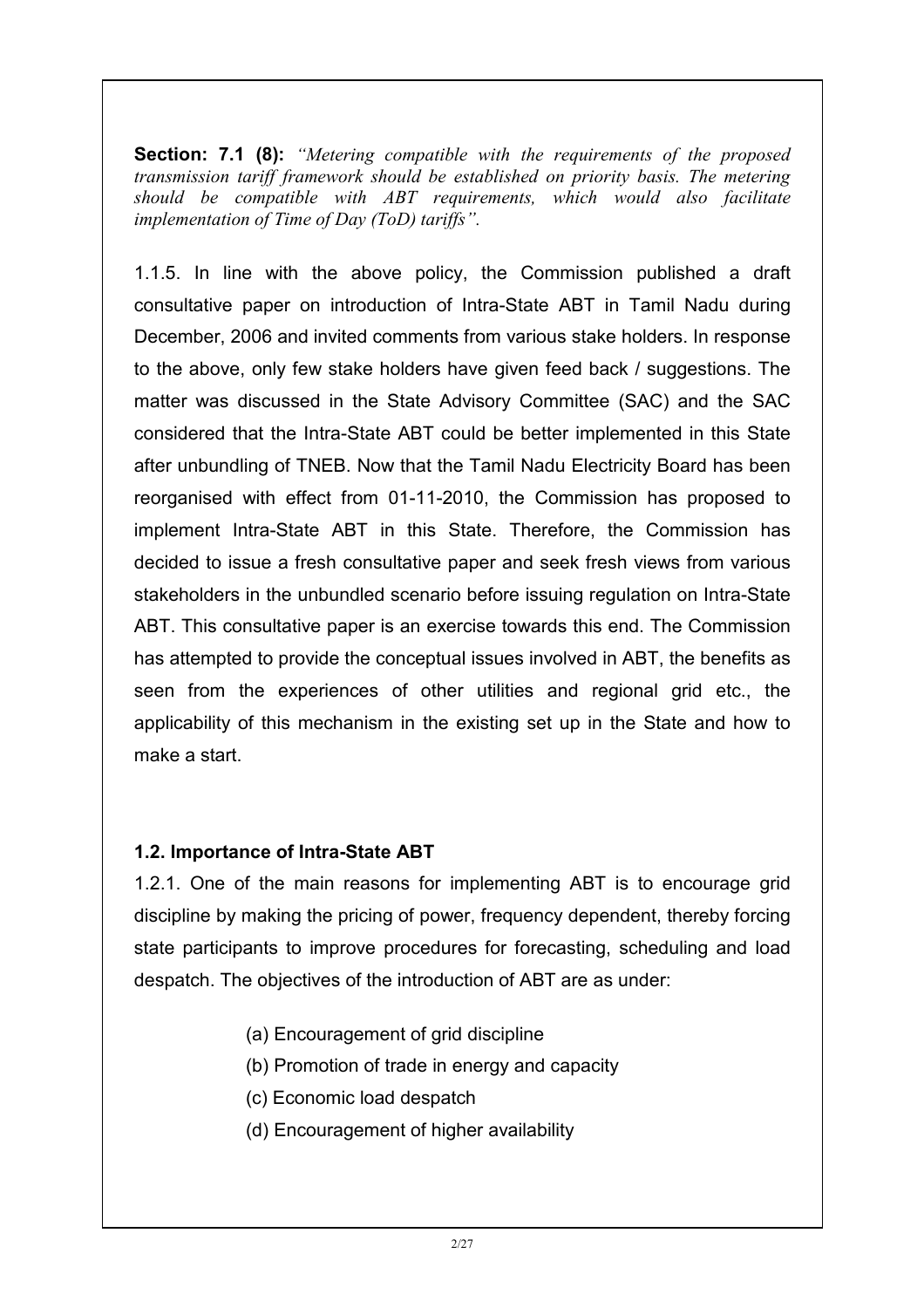**Section: 7.1 (8):** "Metering compatible with the requirements of the proposed transmission tariff framework should be established on priority basis. The metering should be compatible with ABT requirements, which would also facilitate implementation of Time of Day (ToD) tariffs".

1.1.5. In line with the above policy, the Commission published a draft consultative paper on introduction of Intra-State ABT in Tamil Nadu during December, 2006 and invited comments from various stake holders. In response to the above, only few stake holders have given feed back / suggestions. The matter was discussed in the State Advisory Committee (SAC) and the SAC considered that the Intra-State ABT could be better implemented in this State after unbundling of TNEB. Now that the Tamil Nadu Electricity Board has been reorganised with effect from 01-11-2010, the Commission has proposed to implement Intra-State ABT in this State. Therefore, the Commission has decided to issue a fresh consultative paper and seek fresh views from various stakeholders in the unbundled scenario before issuing regulation on Intra-State ABT. This consultative paper is an exercise towards this end. The Commission has attempted to provide the conceptual issues involved in ABT, the benefits as seen from the experiences of other utilities and regional grid etc., the applicability of this mechanism in the existing set up in the State and how to make a start.

#### 1.2. Importance of Intra-State ABT

1.2.1. One of the main reasons for implementing ABT is to encourage grid discipline by making the pricing of power, frequency dependent, thereby forcing state participants to improve procedures for forecasting, scheduling and load despatch. The objectives of the introduction of ABT are as under:

- (a) Encouragement of grid discipline
- (b) Promotion of trade in energy and capacity
- (c) Economic load despatch
- (d) Encouragement of higher availability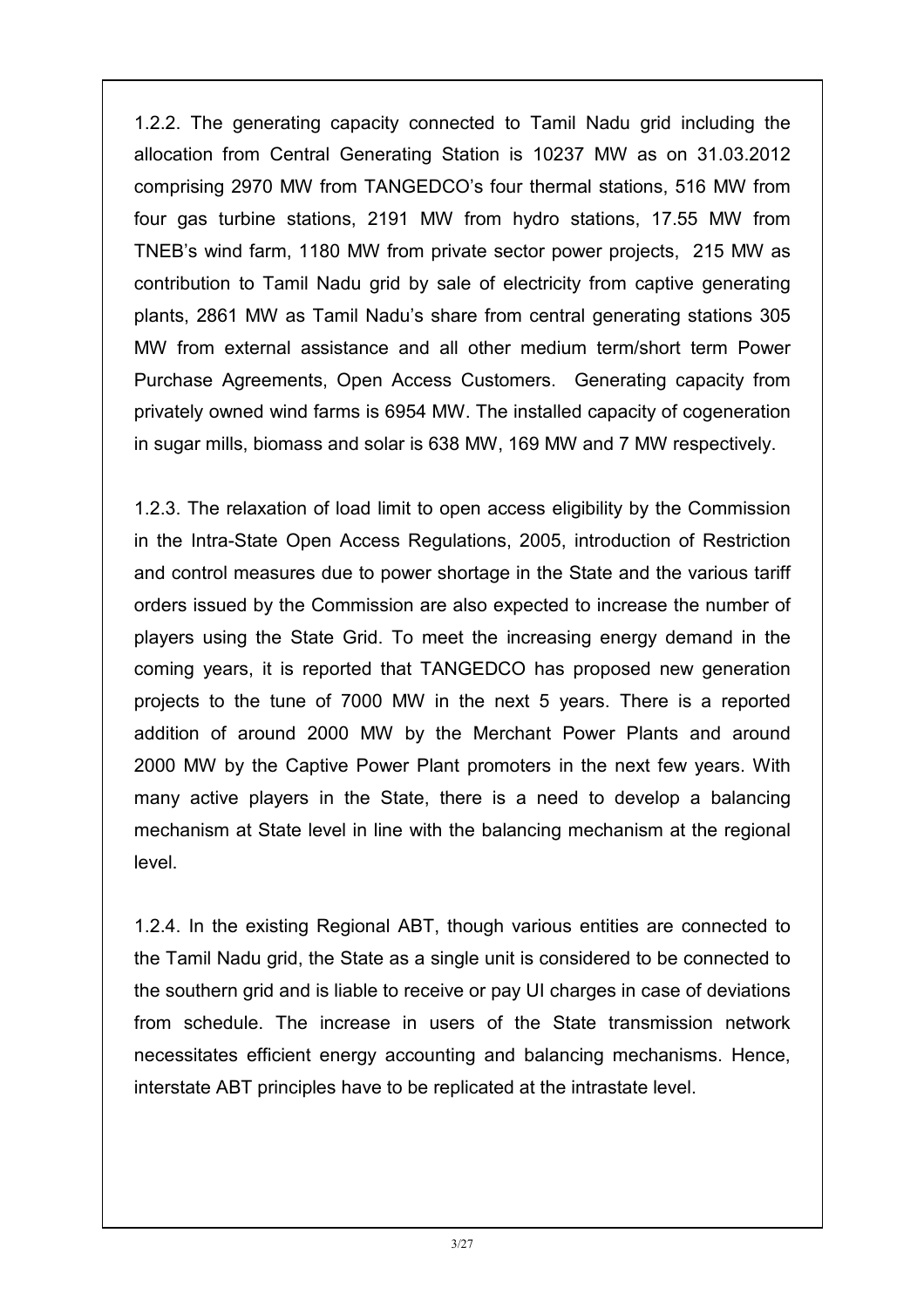1.2.2. The generating capacity connected to Tamil Nadu grid including the allocation from Central Generating Station is 10237 MW as on 31.03.2012 comprising 2970 MW from TANGEDCO's four thermal stations, 516 MW from four gas turbine stations, 2191 MW from hydro stations, 17.55 MW from TNEB's wind farm, 1180 MW from private sector power projects, 215 MW as contribution to Tamil Nadu grid by sale of electricity from captive generating plants, 2861 MW as Tamil Nadu's share from central generating stations 305 MW from external assistance and all other medium term/short term Power Purchase Agreements, Open Access Customers. Generating capacity from privately owned wind farms is 6954 MW. The installed capacity of cogeneration in sugar mills, biomass and solar is 638 MW, 169 MW and 7 MW respectively.

1.2.3. The relaxation of load limit to open access eligibility by the Commission in the Intra-State Open Access Regulations, 2005, introduction of Restriction and control measures due to power shortage in the State and the various tariff orders issued by the Commission are also expected to increase the number of players using the State Grid. To meet the increasing energy demand in the coming years, it is reported that TANGEDCO has proposed new generation projects to the tune of 7000 MW in the next 5 years. There is a reported addition of around 2000 MW by the Merchant Power Plants and around 2000 MW by the Captive Power Plant promoters in the next few years. With many active players in the State, there is a need to develop a balancing mechanism at State level in line with the balancing mechanism at the regional level.

1.2.4. In the existing Regional ABT, though various entities are connected to the Tamil Nadu grid, the State as a single unit is considered to be connected to the southern grid and is liable to receive or pay UI charges in case of deviations from schedule. The increase in users of the State transmission network necessitates efficient energy accounting and balancing mechanisms. Hence, interstate ABT principles have to be replicated at the intrastate level.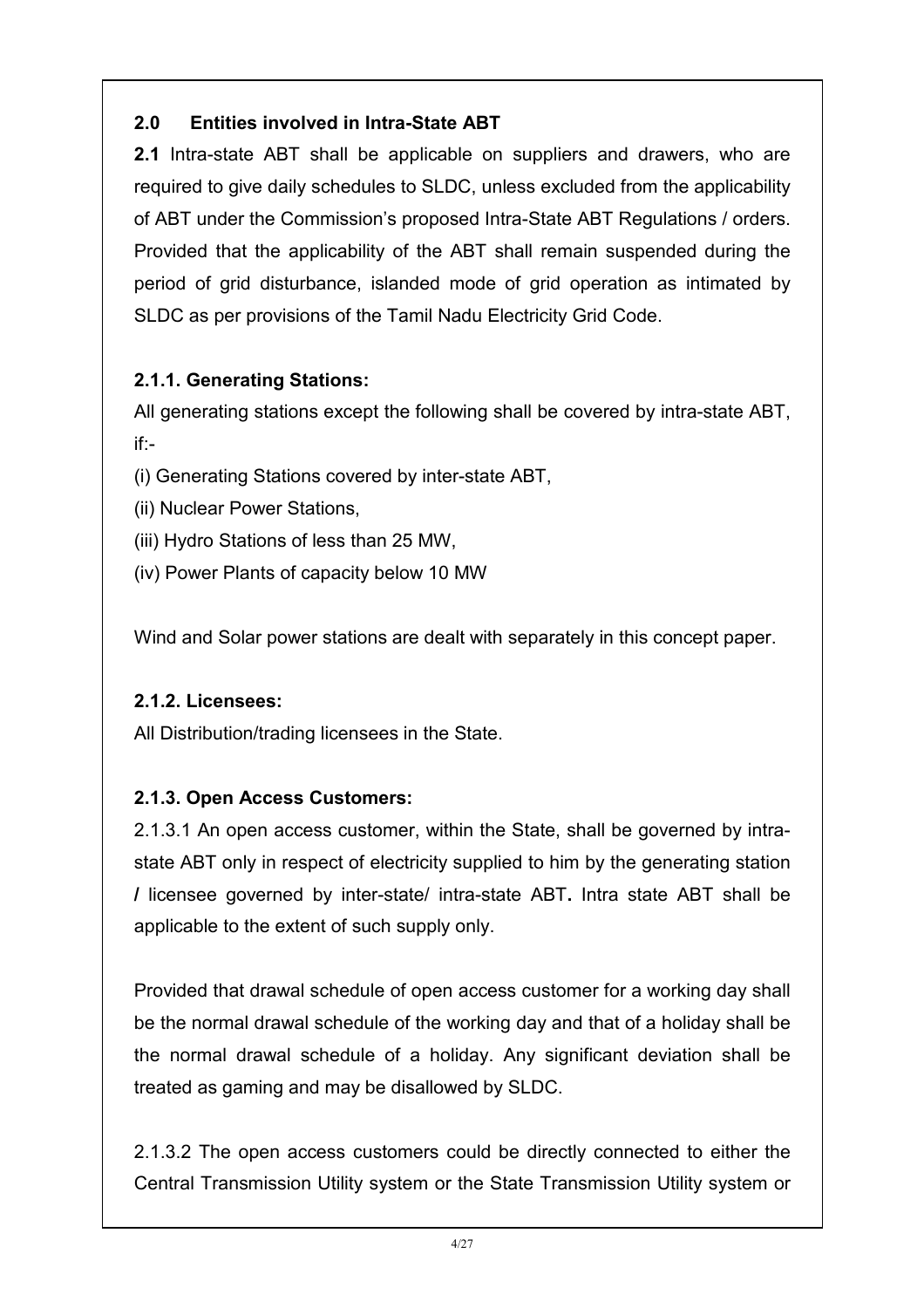### 2.0 Entities involved in Intra-State ABT

2.1 Intra-state ABT shall be applicable on suppliers and drawers, who are required to give daily schedules to SLDC, unless excluded from the applicability of ABT under the Commission's proposed Intra-State ABT Regulations / orders. Provided that the applicability of the ABT shall remain suspended during the period of grid disturbance, islanded mode of grid operation as intimated by SLDC as per provisions of the Tamil Nadu Electricity Grid Code.

#### 2.1.1. Generating Stations:

All generating stations except the following shall be covered by intra-state ABT, if:-

- (i) Generating Stations covered by inter-state ABT,
- (ii) Nuclear Power Stations,
- (iii) Hydro Stations of less than 25 MW,
- (iv) Power Plants of capacity below 10 MW

Wind and Solar power stations are dealt with separately in this concept paper.

### 2.1.2. Licensees:

All Distribution/trading licensees in the State.

### 2.1.3. Open Access Customers:

2.1.3.1 An open access customer, within the State, shall be governed by intrastate ABT only in respect of electricity supplied to him by the generating station / licensee governed by inter-state/ intra-state ABT. Intra state ABT shall be applicable to the extent of such supply only.

Provided that drawal schedule of open access customer for a working day shall be the normal drawal schedule of the working day and that of a holiday shall be the normal drawal schedule of a holiday. Any significant deviation shall be treated as gaming and may be disallowed by SLDC.

2.1.3.2 The open access customers could be directly connected to either the Central Transmission Utility system or the State Transmission Utility system or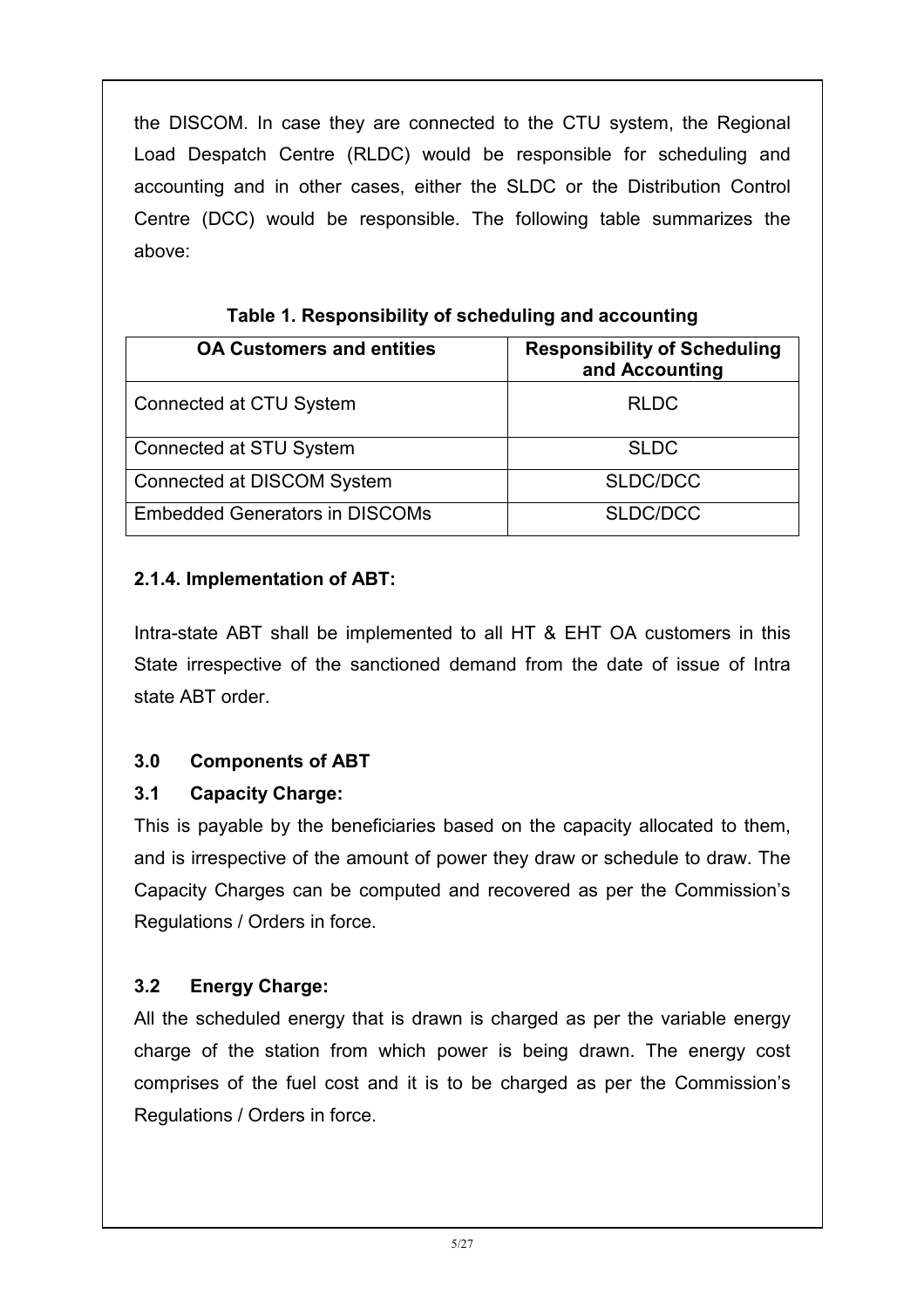the DISCOM. In case they are connected to the CTU system, the Regional Load Despatch Centre (RLDC) would be responsible for scheduling and accounting and in other cases, either the SLDC or the Distribution Control Centre (DCC) would be responsible. The following table summarizes the above:

| <b>OA Customers and entities</b>      | <b>Responsibility of Scheduling</b><br>and Accounting |
|---------------------------------------|-------------------------------------------------------|
| Connected at CTU System               | <b>RLDC</b>                                           |
| Connected at STU System               | <b>SLDC</b>                                           |
| Connected at DISCOM System            | SLDC/DCC                                              |
| <b>Embedded Generators in DISCOMs</b> | SLDC/DCC                                              |

|  | Table 1. Responsibility of scheduling and accounting |
|--|------------------------------------------------------|
|--|------------------------------------------------------|

#### 2.1.4. Implementation of ABT:

Intra-state ABT shall be implemented to all HT & EHT OA customers in this State irrespective of the sanctioned demand from the date of issue of Intra state ABT order.

### 3.0 Components of ABT

### 3.1 Capacity Charge:

This is payable by the beneficiaries based on the capacity allocated to them, and is irrespective of the amount of power they draw or schedule to draw. The Capacity Charges can be computed and recovered as per the Commission's Regulations / Orders in force.

### 3.2 Energy Charge:

All the scheduled energy that is drawn is charged as per the variable energy charge of the station from which power is being drawn. The energy cost comprises of the fuel cost and it is to be charged as per the Commission's Regulations / Orders in force.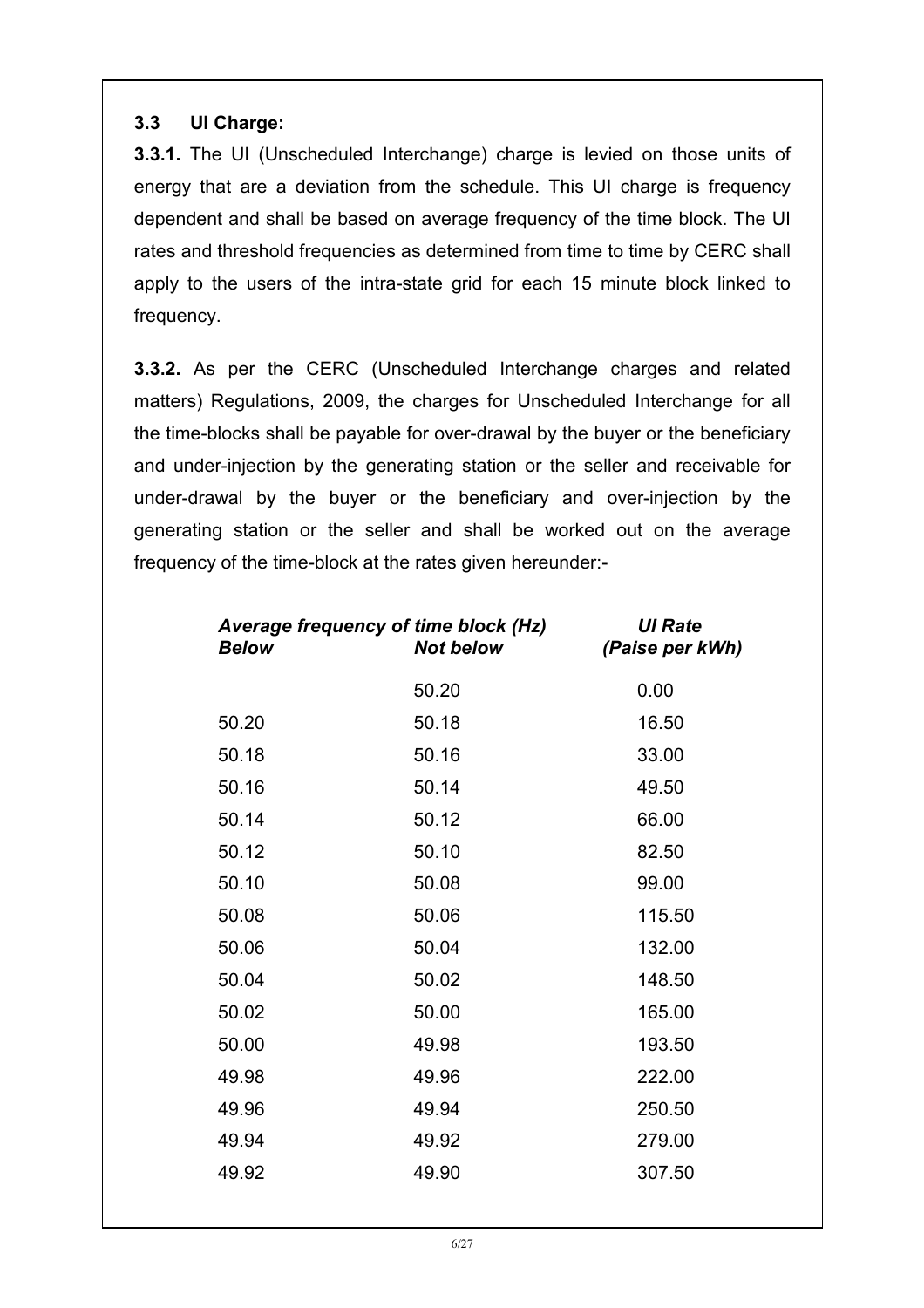#### 3.3 UI Charge:

3.3.1. The UI (Unscheduled Interchange) charge is levied on those units of energy that are a deviation from the schedule. This UI charge is frequency dependent and shall be based on average frequency of the time block. The UI rates and threshold frequencies as determined from time to time by CERC shall apply to the users of the intra-state grid for each 15 minute block linked to frequency.

3.3.2. As per the CERC (Unscheduled Interchange charges and related matters) Regulations, 2009, the charges for Unscheduled Interchange for all the time-blocks shall be payable for over-drawal by the buyer or the beneficiary and under-injection by the generating station or the seller and receivable for under-drawal by the buyer or the beneficiary and over-injection by the generating station or the seller and shall be worked out on the average frequency of the time-block at the rates given hereunder:-

| <b>Below</b> | Average frequency of time block (Hz)<br><b>Not below</b> | <b>UI Rate</b><br>(Paise per kWh) |
|--------------|----------------------------------------------------------|-----------------------------------|
|              | 50.20                                                    | 0.00                              |
| 50.20        | 50.18                                                    | 16.50                             |
| 50.18        | 50.16                                                    | 33.00                             |
| 50.16        | 50.14                                                    | 49.50                             |
| 50.14        | 50.12                                                    | 66.00                             |
| 50.12        | 50.10                                                    | 82.50                             |
| 50.10        | 50.08                                                    | 99.00                             |
| 50.08        | 50.06                                                    | 115.50                            |
| 50.06        | 50.04                                                    | 132.00                            |
| 50.04        | 50.02                                                    | 148.50                            |
| 50.02        | 50.00                                                    | 165.00                            |
| 50.00        | 49.98                                                    | 193.50                            |
| 49.98        | 49.96                                                    | 222.00                            |
| 49.96        | 49.94                                                    | 250.50                            |
| 49.94        | 49.92                                                    | 279.00                            |
| 49.92        | 49.90                                                    | 307.50                            |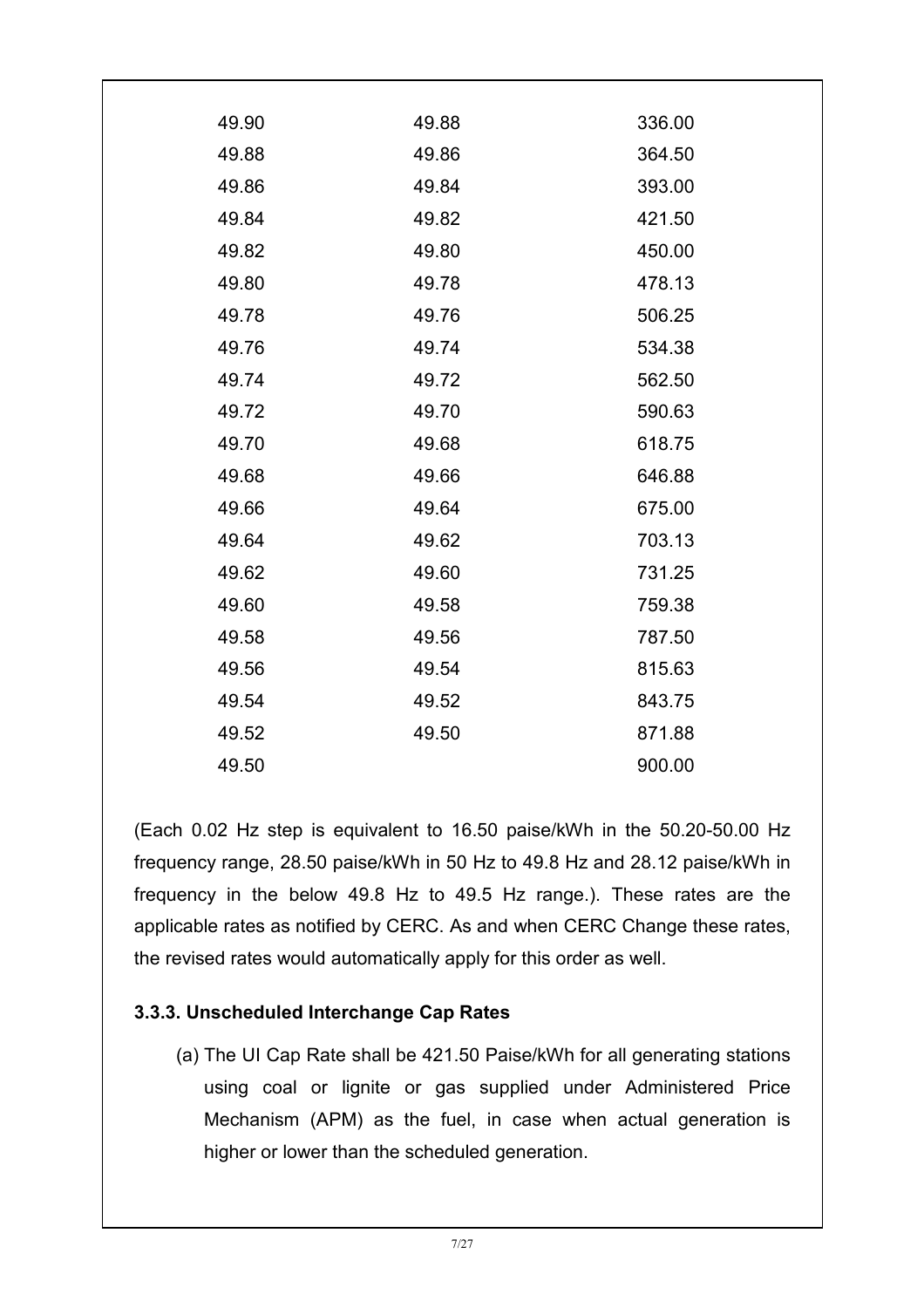| 49.90 | 336.00                                                                                                                                                                           |
|-------|----------------------------------------------------------------------------------------------------------------------------------------------------------------------------------|
| 49.88 | 364.50                                                                                                                                                                           |
| 49.86 | 393.00                                                                                                                                                                           |
| 49.84 | 421.50                                                                                                                                                                           |
| 49.82 | 450.00                                                                                                                                                                           |
| 49.80 | 478.13                                                                                                                                                                           |
| 49.78 | 506.25                                                                                                                                                                           |
| 49.76 | 534.38                                                                                                                                                                           |
| 49.74 | 562.50                                                                                                                                                                           |
| 49.72 | 590.63                                                                                                                                                                           |
| 49.70 | 618.75                                                                                                                                                                           |
| 49.68 | 646.88                                                                                                                                                                           |
| 49.66 | 675.00                                                                                                                                                                           |
| 49.64 | 703.13                                                                                                                                                                           |
| 49.62 | 731.25                                                                                                                                                                           |
| 49.60 | 759.38                                                                                                                                                                           |
| 49.58 | 787.50                                                                                                                                                                           |
| 49.56 | 815.63                                                                                                                                                                           |
| 49.54 | 843.75                                                                                                                                                                           |
| 49.52 | 871.88                                                                                                                                                                           |
| 49.50 | 900.00                                                                                                                                                                           |
|       | 49.88<br>49.86<br>49.84<br>49.82<br>49.80<br>49.78<br>49.76<br>49.74<br>49.72<br>49.70<br>49.68<br>49.66<br>49.64<br>49.62<br>49.60<br>49.58<br>49.56<br>49.54<br>49.52<br>49.50 |

(Each 0.02 Hz step is equivalent to 16.50 paise/kWh in the 50.20-50.00 Hz frequency range, 28.50 paise/kWh in 50 Hz to 49.8 Hz and 28.12 paise/kWh in frequency in the below 49.8 Hz to 49.5 Hz range.). These rates are the applicable rates as notified by CERC. As and when CERC Change these rates, the revised rates would automatically apply for this order as well.

#### 3.3.3. Unscheduled Interchange Cap Rates

(a) The UI Cap Rate shall be 421.50 Paise/kWh for all generating stations using coal or lignite or gas supplied under Administered Price Mechanism (APM) as the fuel, in case when actual generation is higher or lower than the scheduled generation.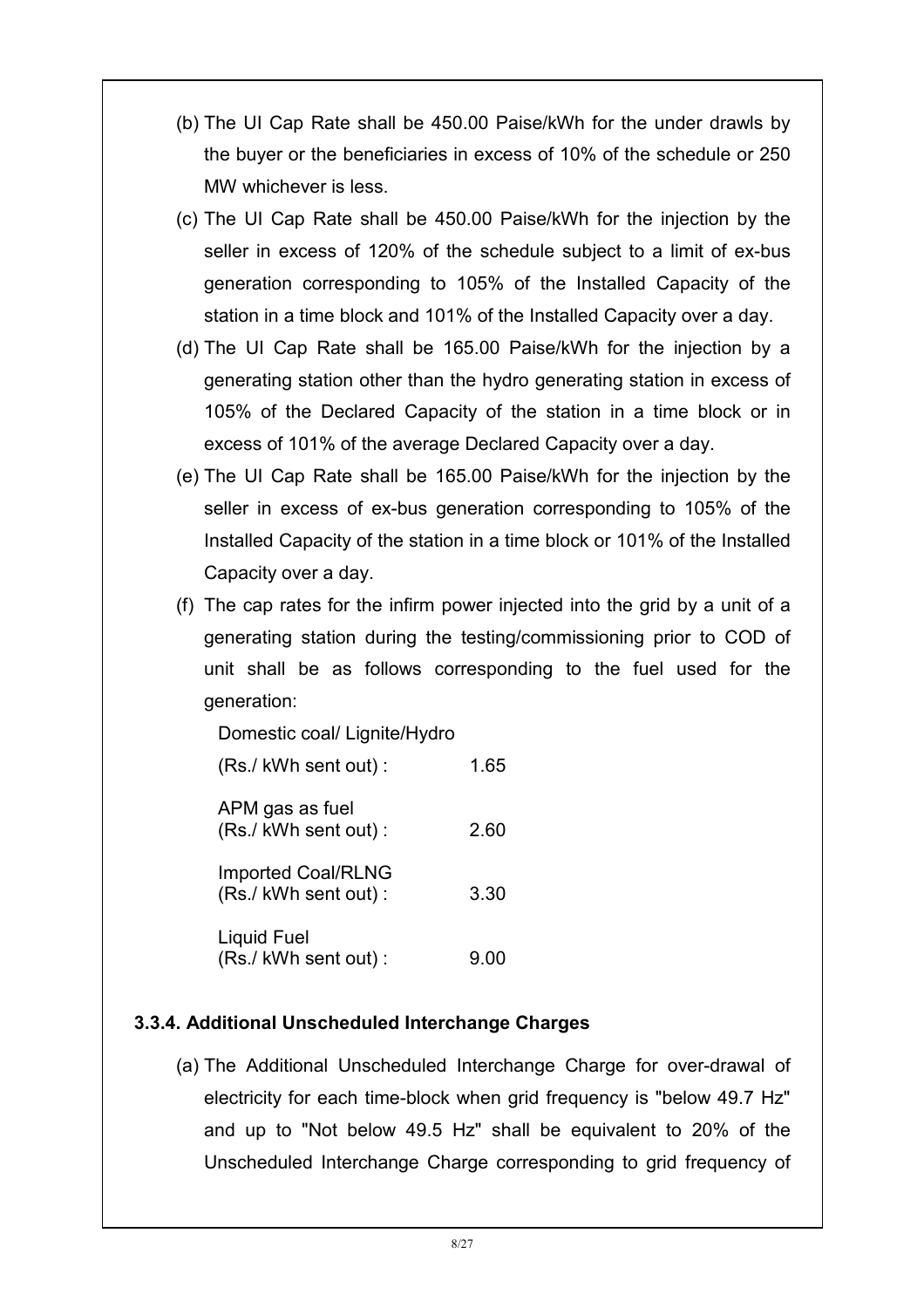- (b) The UI Cap Rate shall be 450.00 Paise/kWh for the under drawls by the buyer or the beneficiaries in excess of 10% of the schedule or 250 MW whichever is less.
- (c) The UI Cap Rate shall be 450.00 Paise/kWh for the injection by the seller in excess of 120% of the schedule subject to a limit of ex-bus generation corresponding to 105% of the Installed Capacity of the station in a time block and 101% of the Installed Capacity over a day.
- (d) The UI Cap Rate shall be 165.00 Paise/kWh for the injection by a generating station other than the hydro generating station in excess of 105% of the Declared Capacity of the station in a time block or in excess of 101% of the average Declared Capacity over a day.
- (e) The UI Cap Rate shall be 165.00 Paise/kWh for the injection by the seller in excess of ex-bus generation corresponding to 105% of the Installed Capacity of the station in a time block or 101% of the Installed Capacity over a day.
- (f) The cap rates for the infirm power injected into the grid by a unit of a generating station during the testing/commissioning prior to COD of unit shall be as follows corresponding to the fuel used for the generation:

Domestic coal/ Lignite/Hydro

| (Rs./ kWh sent out):                             | 1.65 |
|--------------------------------------------------|------|
| APM gas as fuel<br>(Rs./kWh sent out):           | 2.60 |
| <b>Imported Coal/RLNG</b><br>(Rs./kWh sent out): | 3.30 |
| Liquid Fuel<br>(Rs./ kWh sent out):              | 9.00 |

#### 3.3.4. Additional Unscheduled Interchange Charges

(a) The Additional Unscheduled Interchange Charge for over-drawal of electricity for each time-block when grid frequency is "below 49.7 Hz" and up to "Not below 49.5 Hz" shall be equivalent to 20% of the Unscheduled Interchange Charge corresponding to grid frequency of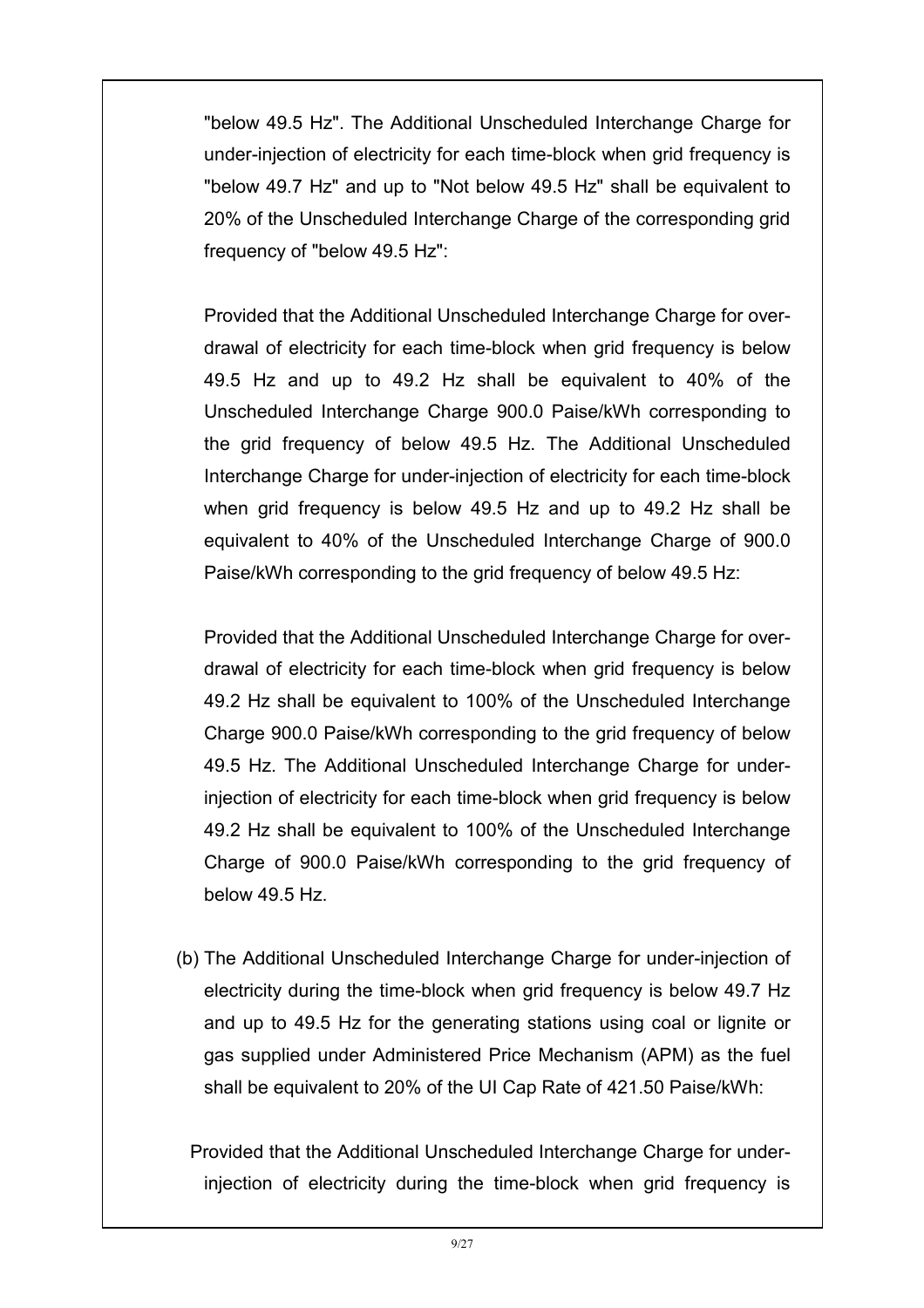"below 49.5 Hz". The Additional Unscheduled Interchange Charge for under-injection of electricity for each time-block when grid frequency is "below 49.7 Hz" and up to "Not below 49.5 Hz" shall be equivalent to 20% of the Unscheduled Interchange Charge of the corresponding grid frequency of "below 49.5 Hz":

Provided that the Additional Unscheduled Interchange Charge for overdrawal of electricity for each time-block when grid frequency is below 49.5 Hz and up to 49.2 Hz shall be equivalent to 40% of the Unscheduled Interchange Charge 900.0 Paise/kWh corresponding to the grid frequency of below 49.5 Hz. The Additional Unscheduled Interchange Charge for under-injection of electricity for each time-block when grid frequency is below 49.5 Hz and up to 49.2 Hz shall be equivalent to 40% of the Unscheduled Interchange Charge of 900.0 Paise/kWh corresponding to the grid frequency of below 49.5 Hz:

Provided that the Additional Unscheduled Interchange Charge for overdrawal of electricity for each time-block when grid frequency is below 49.2 Hz shall be equivalent to 100% of the Unscheduled Interchange Charge 900.0 Paise/kWh corresponding to the grid frequency of below 49.5 Hz. The Additional Unscheduled Interchange Charge for underinjection of electricity for each time-block when grid frequency is below 49.2 Hz shall be equivalent to 100% of the Unscheduled Interchange Charge of 900.0 Paise/kWh corresponding to the grid frequency of below 49.5 Hz.

(b) The Additional Unscheduled Interchange Charge for under-injection of electricity during the time-block when grid frequency is below 49.7 Hz and up to 49.5 Hz for the generating stations using coal or lignite or gas supplied under Administered Price Mechanism (APM) as the fuel shall be equivalent to 20% of the UI Cap Rate of 421.50 Paise/kWh:

Provided that the Additional Unscheduled Interchange Charge for underinjection of electricity during the time-block when grid frequency is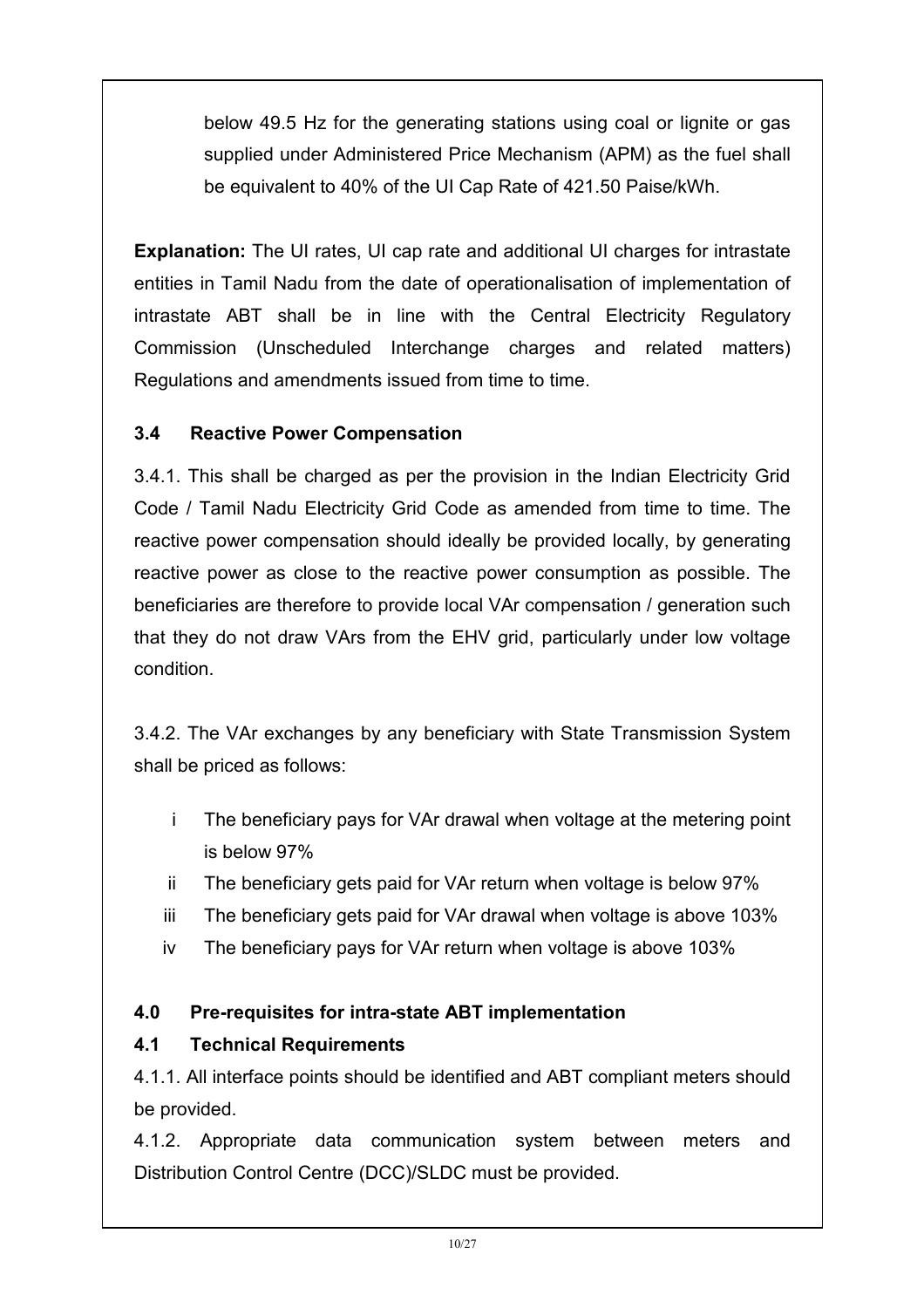below 49.5 Hz for the generating stations using coal or lignite or gas supplied under Administered Price Mechanism (APM) as the fuel shall be equivalent to 40% of the UI Cap Rate of 421.50 Paise/kWh.

Explanation: The UI rates, UI cap rate and additional UI charges for intrastate entities in Tamil Nadu from the date of operationalisation of implementation of intrastate ABT shall be in line with the Central Electricity Regulatory Commission (Unscheduled Interchange charges and related matters) Regulations and amendments issued from time to time.

#### 3.4 Reactive Power Compensation

3.4.1. This shall be charged as per the provision in the Indian Electricity Grid Code / Tamil Nadu Electricity Grid Code as amended from time to time. The reactive power compensation should ideally be provided locally, by generating reactive power as close to the reactive power consumption as possible. The beneficiaries are therefore to provide local VAr compensation / generation such that they do not draw VArs from the EHV grid, particularly under low voltage condition.

3.4.2. The VAr exchanges by any beneficiary with State Transmission System shall be priced as follows:

- i The beneficiary pays for VAr drawal when voltage at the metering point is below 97%
- ii The beneficiary gets paid for VAr return when voltage is below 97%
- iii The beneficiary gets paid for VAr drawal when voltage is above 103%
- iv The beneficiary pays for VAr return when voltage is above 103%

### 4.0 Pre-requisites for intra-state ABT implementation

#### 4.1 Technical Requirements

4.1.1. All interface points should be identified and ABT compliant meters should be provided.

4.1.2. Appropriate data communication system between meters and Distribution Control Centre (DCC)/SLDC must be provided.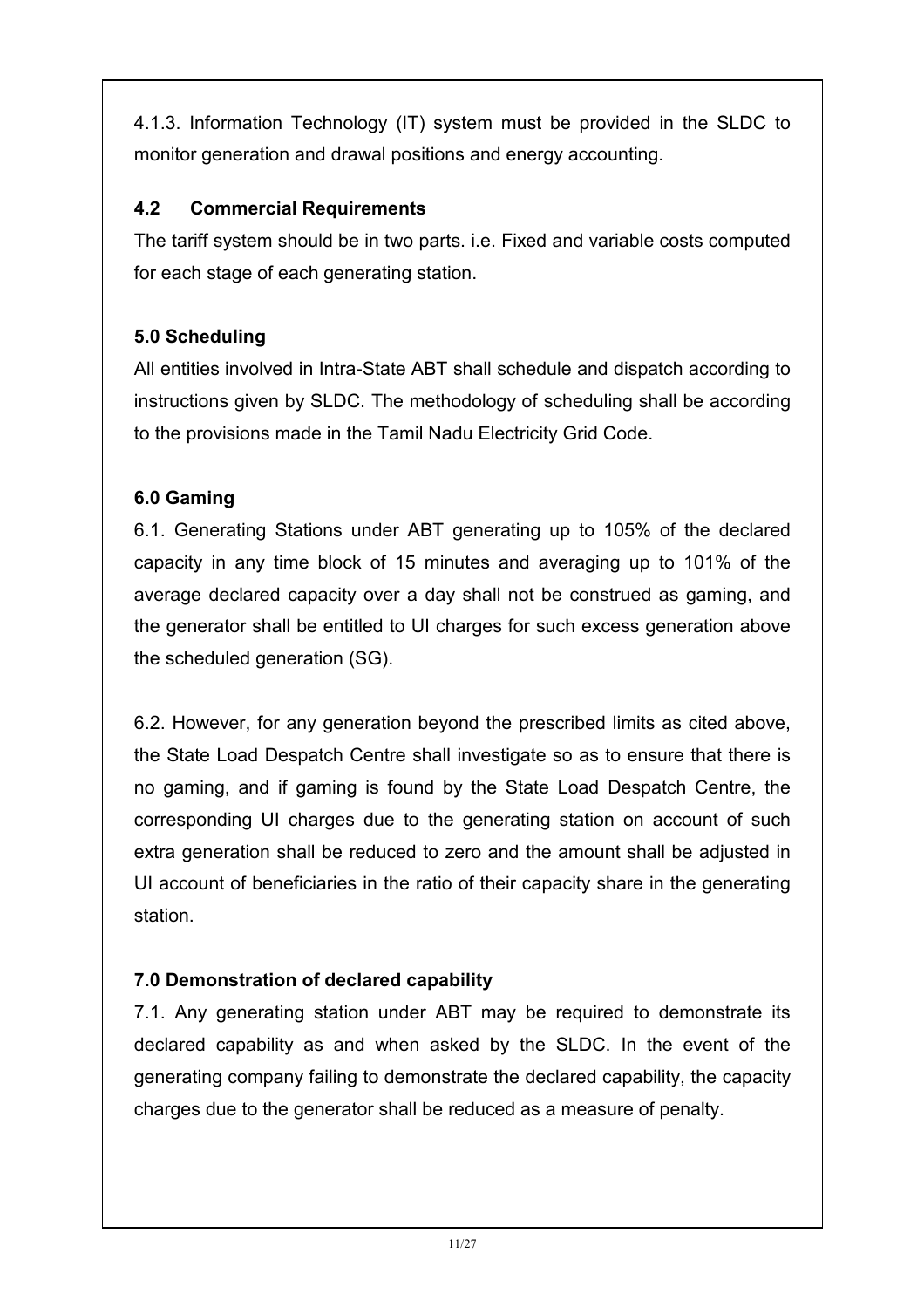4.1.3. Information Technology (IT) system must be provided in the SLDC to monitor generation and drawal positions and energy accounting.

### 4.2 Commercial Requirements

The tariff system should be in two parts. i.e. Fixed and variable costs computed for each stage of each generating station.

# 5.0 Scheduling

All entities involved in Intra-State ABT shall schedule and dispatch according to instructions given by SLDC. The methodology of scheduling shall be according to the provisions made in the Tamil Nadu Electricity Grid Code.

### 6.0 Gaming

6.1. Generating Stations under ABT generating up to 105% of the declared capacity in any time block of 15 minutes and averaging up to 101% of the average declared capacity over a day shall not be construed as gaming, and the generator shall be entitled to UI charges for such excess generation above the scheduled generation (SG).

6.2. However, for any generation beyond the prescribed limits as cited above, the State Load Despatch Centre shall investigate so as to ensure that there is no gaming, and if gaming is found by the State Load Despatch Centre, the corresponding UI charges due to the generating station on account of such extra generation shall be reduced to zero and the amount shall be adjusted in UI account of beneficiaries in the ratio of their capacity share in the generating station.

### 7.0 Demonstration of declared capability

7.1. Any generating station under ABT may be required to demonstrate its declared capability as and when asked by the SLDC. In the event of the generating company failing to demonstrate the declared capability, the capacity charges due to the generator shall be reduced as a measure of penalty.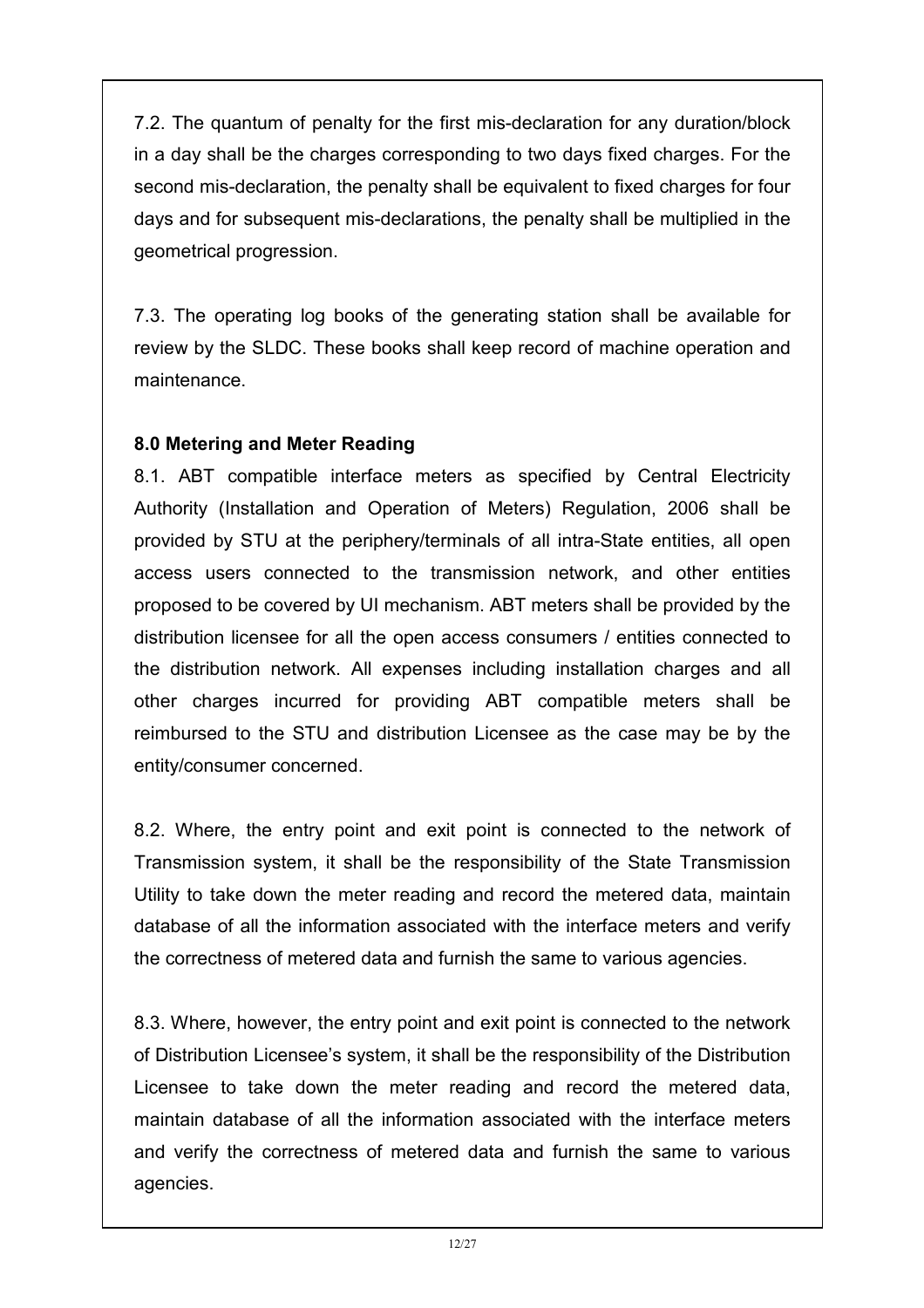7.2. The quantum of penalty for the first mis-declaration for any duration/block in a day shall be the charges corresponding to two days fixed charges. For the second mis-declaration, the penalty shall be equivalent to fixed charges for four days and for subsequent mis-declarations, the penalty shall be multiplied in the geometrical progression.

7.3. The operating log books of the generating station shall be available for review by the SLDC. These books shall keep record of machine operation and maintenance.

#### 8.0 Metering and Meter Reading

8.1. ABT compatible interface meters as specified by Central Electricity Authority (Installation and Operation of Meters) Regulation, 2006 shall be provided by STU at the periphery/terminals of all intra-State entities, all open access users connected to the transmission network, and other entities proposed to be covered by UI mechanism. ABT meters shall be provided by the distribution licensee for all the open access consumers / entities connected to the distribution network. All expenses including installation charges and all other charges incurred for providing ABT compatible meters shall be reimbursed to the STU and distribution Licensee as the case may be by the entity/consumer concerned.

8.2. Where, the entry point and exit point is connected to the network of Transmission system, it shall be the responsibility of the State Transmission Utility to take down the meter reading and record the metered data, maintain database of all the information associated with the interface meters and verify the correctness of metered data and furnish the same to various agencies.

8.3. Where, however, the entry point and exit point is connected to the network of Distribution Licensee's system, it shall be the responsibility of the Distribution Licensee to take down the meter reading and record the metered data, maintain database of all the information associated with the interface meters and verify the correctness of metered data and furnish the same to various agencies.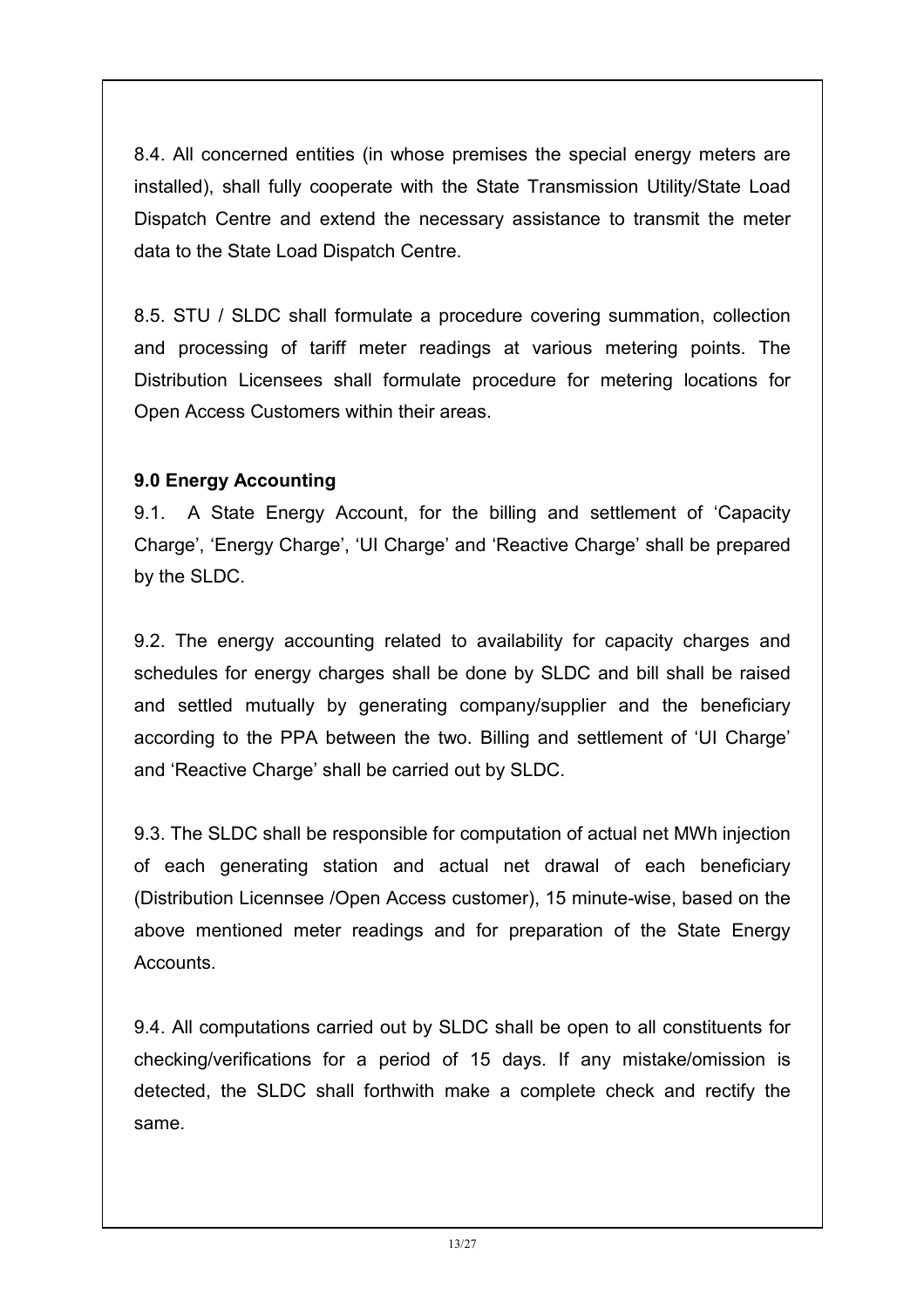8.4. All concerned entities (in whose premises the special energy meters are installed), shall fully cooperate with the State Transmission Utility/State Load Dispatch Centre and extend the necessary assistance to transmit the meter data to the State Load Dispatch Centre.

8.5. STU / SLDC shall formulate a procedure covering summation, collection and processing of tariff meter readings at various metering points. The Distribution Licensees shall formulate procedure for metering locations for Open Access Customers within their areas.

### 9.0 Energy Accounting

9.1. A State Energy Account, for the billing and settlement of 'Capacity Charge', 'Energy Charge', 'UI Charge' and 'Reactive Charge' shall be prepared by the SLDC.

9.2. The energy accounting related to availability for capacity charges and schedules for energy charges shall be done by SLDC and bill shall be raised and settled mutually by generating company/supplier and the beneficiary according to the PPA between the two. Billing and settlement of 'UI Charge' and 'Reactive Charge' shall be carried out by SLDC.

9.3. The SLDC shall be responsible for computation of actual net MWh injection of each generating station and actual net drawal of each beneficiary (Distribution Licennsee /Open Access customer), 15 minute-wise, based on the above mentioned meter readings and for preparation of the State Energy Accounts.

9.4. All computations carried out by SLDC shall be open to all constituents for checking/verifications for a period of 15 days. If any mistake/omission is detected, the SLDC shall forthwith make a complete check and rectify the same.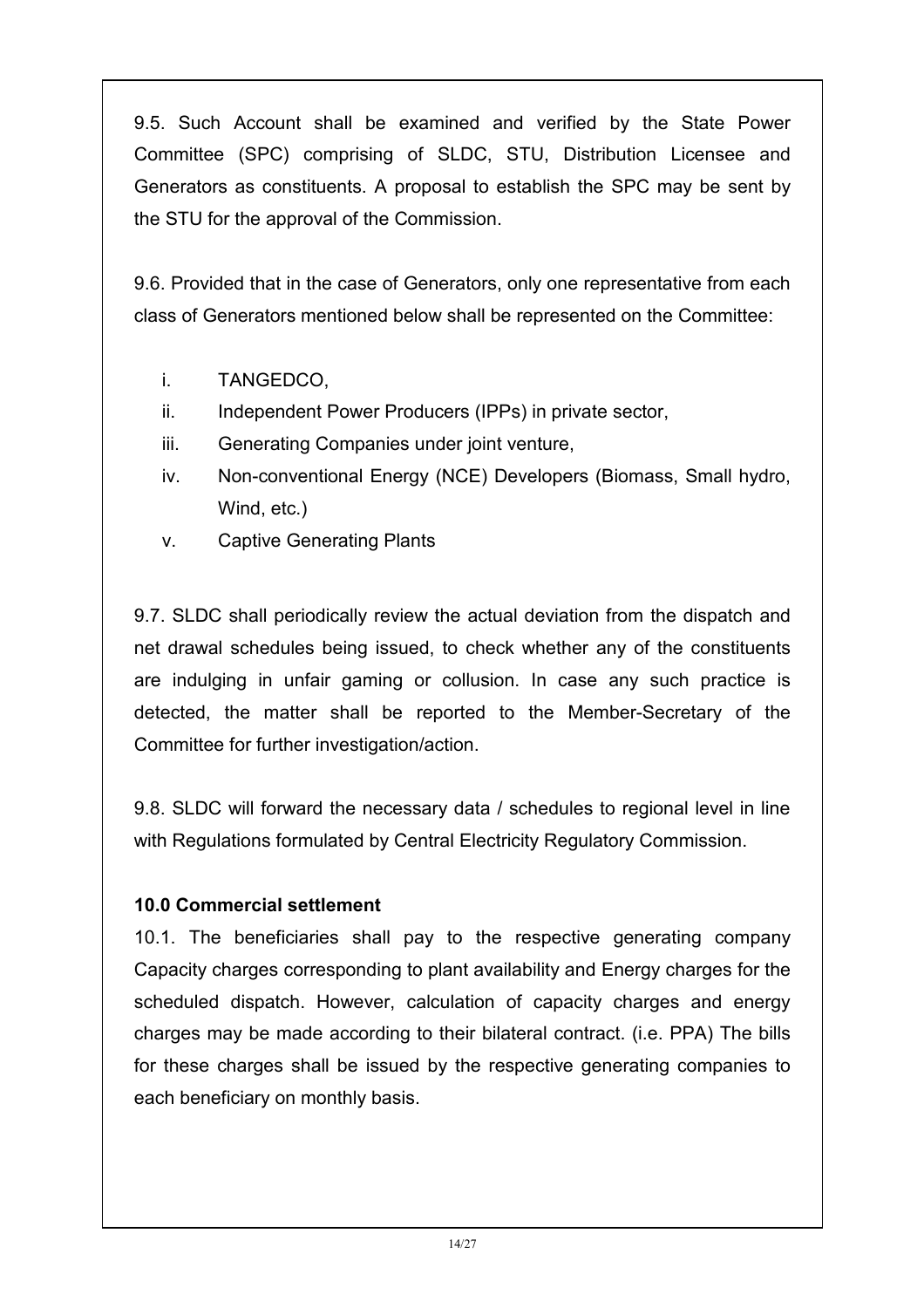9.5. Such Account shall be examined and verified by the State Power Committee (SPC) comprising of SLDC, STU, Distribution Licensee and Generators as constituents. A proposal to establish the SPC may be sent by the STU for the approval of the Commission.

9.6. Provided that in the case of Generators, only one representative from each class of Generators mentioned below shall be represented on the Committee:

- i. TANGEDCO,
- ii. Independent Power Producers (IPPs) in private sector,
- iii. Generating Companies under joint venture,
- iv. Non-conventional Energy (NCE) Developers (Biomass, Small hydro, Wind, etc.)
- v. Captive Generating Plants

9.7. SLDC shall periodically review the actual deviation from the dispatch and net drawal schedules being issued, to check whether any of the constituents are indulging in unfair gaming or collusion. In case any such practice is detected, the matter shall be reported to the Member-Secretary of the Committee for further investigation/action.

9.8. SLDC will forward the necessary data / schedules to regional level in line with Regulations formulated by Central Electricity Regulatory Commission.

#### 10.0 Commercial settlement

10.1. The beneficiaries shall pay to the respective generating company Capacity charges corresponding to plant availability and Energy charges for the scheduled dispatch. However, calculation of capacity charges and energy charges may be made according to their bilateral contract. (i.e. PPA) The bills for these charges shall be issued by the respective generating companies to each beneficiary on monthly basis.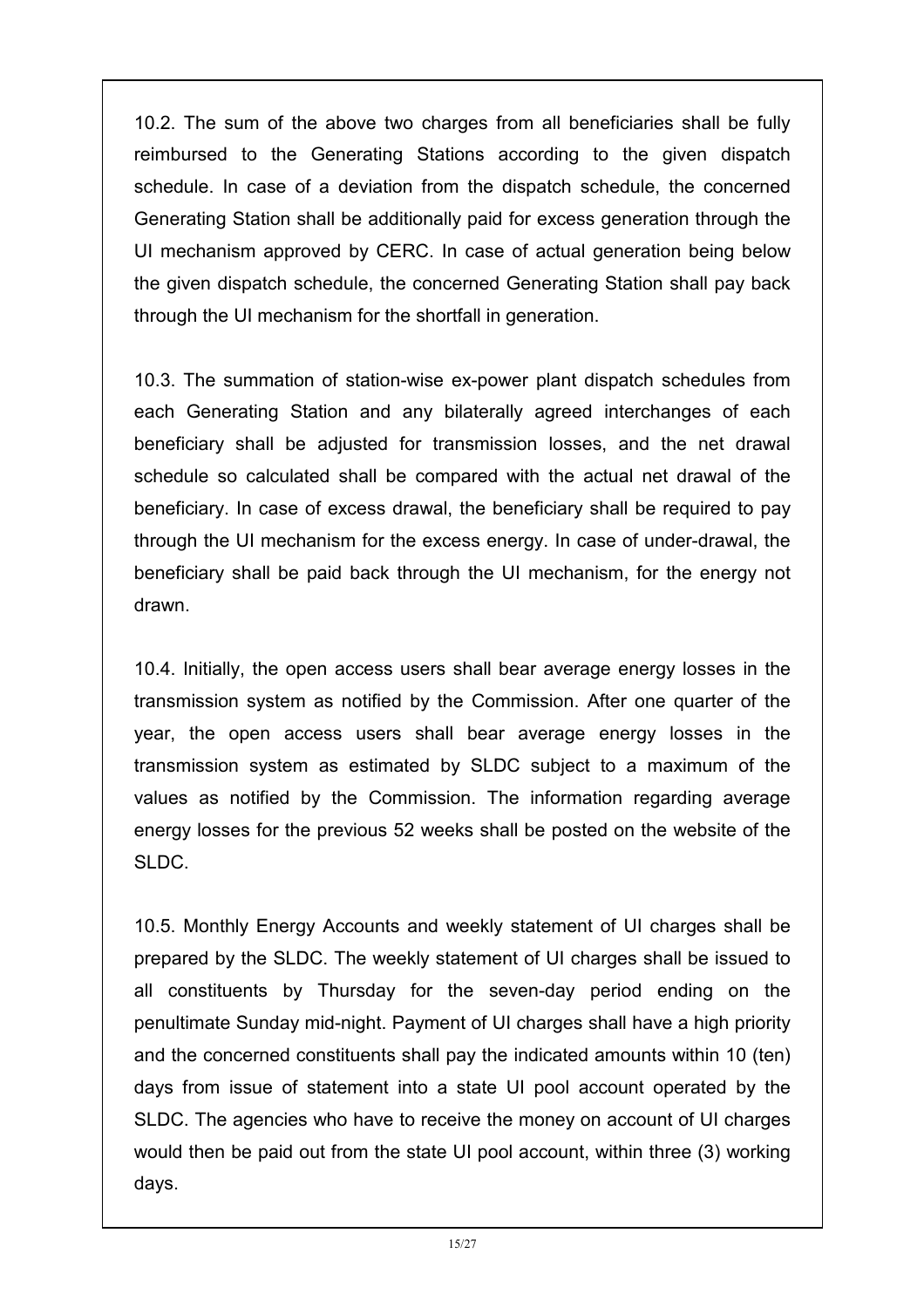10.2. The sum of the above two charges from all beneficiaries shall be fully reimbursed to the Generating Stations according to the given dispatch schedule. In case of a deviation from the dispatch schedule, the concerned Generating Station shall be additionally paid for excess generation through the UI mechanism approved by CERC. In case of actual generation being below the given dispatch schedule, the concerned Generating Station shall pay back through the UI mechanism for the shortfall in generation.

10.3. The summation of station-wise ex-power plant dispatch schedules from each Generating Station and any bilaterally agreed interchanges of each beneficiary shall be adjusted for transmission losses, and the net drawal schedule so calculated shall be compared with the actual net drawal of the beneficiary. In case of excess drawal, the beneficiary shall be required to pay through the UI mechanism for the excess energy. In case of under-drawal, the beneficiary shall be paid back through the UI mechanism, for the energy not drawn.

10.4. Initially, the open access users shall bear average energy losses in the transmission system as notified by the Commission. After one quarter of the year, the open access users shall bear average energy losses in the transmission system as estimated by SLDC subject to a maximum of the values as notified by the Commission. The information regarding average energy losses for the previous 52 weeks shall be posted on the website of the SLDC.

10.5. Monthly Energy Accounts and weekly statement of UI charges shall be prepared by the SLDC. The weekly statement of UI charges shall be issued to all constituents by Thursday for the seven-day period ending on the penultimate Sunday mid-night. Payment of UI charges shall have a high priority and the concerned constituents shall pay the indicated amounts within 10 (ten) days from issue of statement into a state UI pool account operated by the SLDC. The agencies who have to receive the money on account of UI charges would then be paid out from the state UI pool account, within three (3) working days.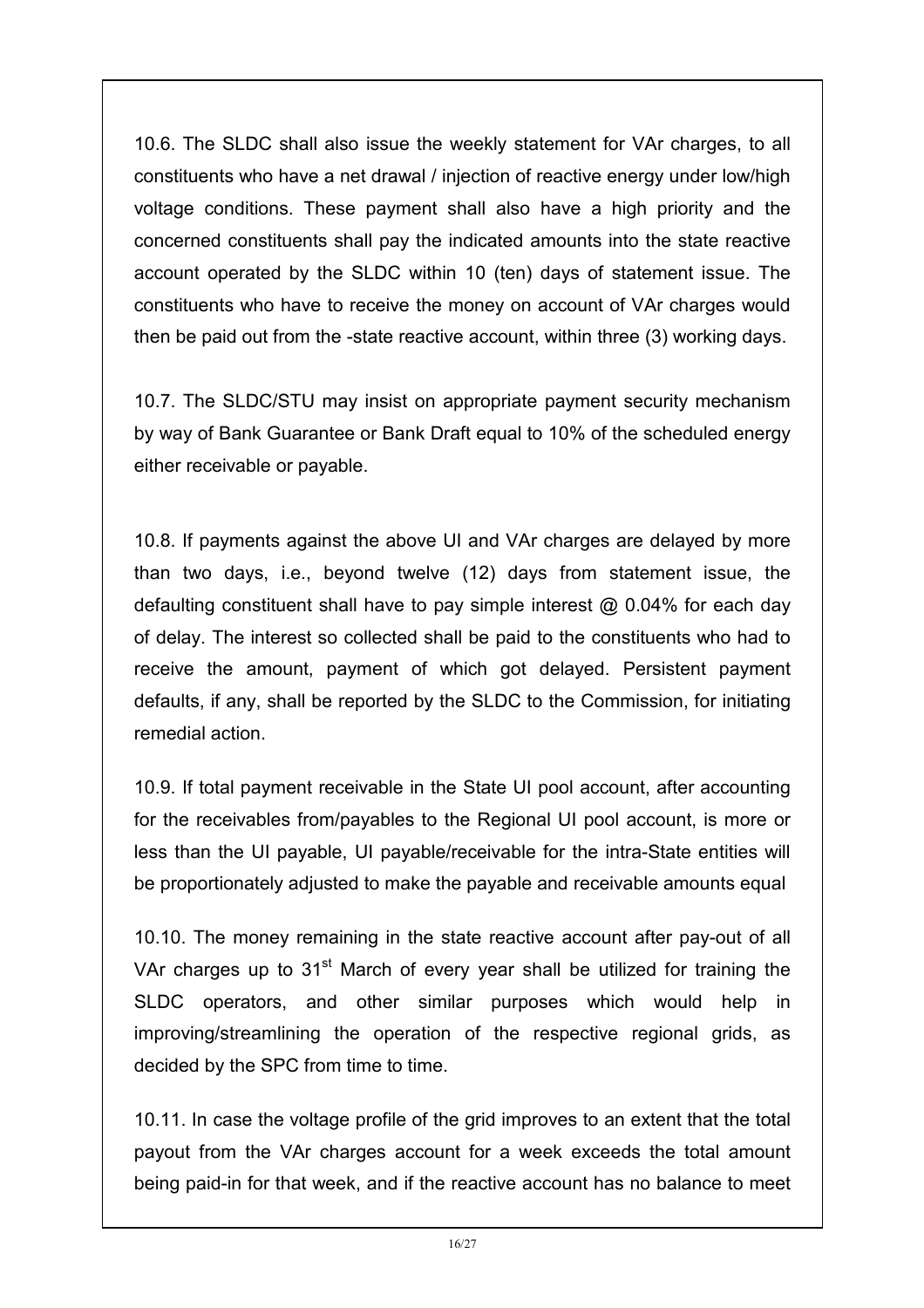10.6. The SLDC shall also issue the weekly statement for VAr charges, to all constituents who have a net drawal / injection of reactive energy under low/high voltage conditions. These payment shall also have a high priority and the concerned constituents shall pay the indicated amounts into the state reactive account operated by the SLDC within 10 (ten) days of statement issue. The constituents who have to receive the money on account of VAr charges would then be paid out from the -state reactive account, within three (3) working days.

10.7. The SLDC/STU may insist on appropriate payment security mechanism by way of Bank Guarantee or Bank Draft equal to 10% of the scheduled energy either receivable or payable.

10.8. If payments against the above UI and VAr charges are delayed by more than two days, i.e., beyond twelve (12) days from statement issue, the defaulting constituent shall have to pay simple interest @ 0.04% for each day of delay. The interest so collected shall be paid to the constituents who had to receive the amount, payment of which got delayed. Persistent payment defaults, if any, shall be reported by the SLDC to the Commission, for initiating remedial action.

10.9. If total payment receivable in the State UI pool account, after accounting for the receivables from/payables to the Regional UI pool account, is more or less than the UI payable, UI payable/receivable for the intra-State entities will be proportionately adjusted to make the payable and receivable amounts equal

10.10. The money remaining in the state reactive account after pay-out of all VAr charges up to  $31<sup>st</sup>$  March of every year shall be utilized for training the SLDC operators, and other similar purposes which would help in improving/streamlining the operation of the respective regional grids, as decided by the SPC from time to time.

10.11. In case the voltage profile of the grid improves to an extent that the total payout from the VAr charges account for a week exceeds the total amount being paid-in for that week, and if the reactive account has no balance to meet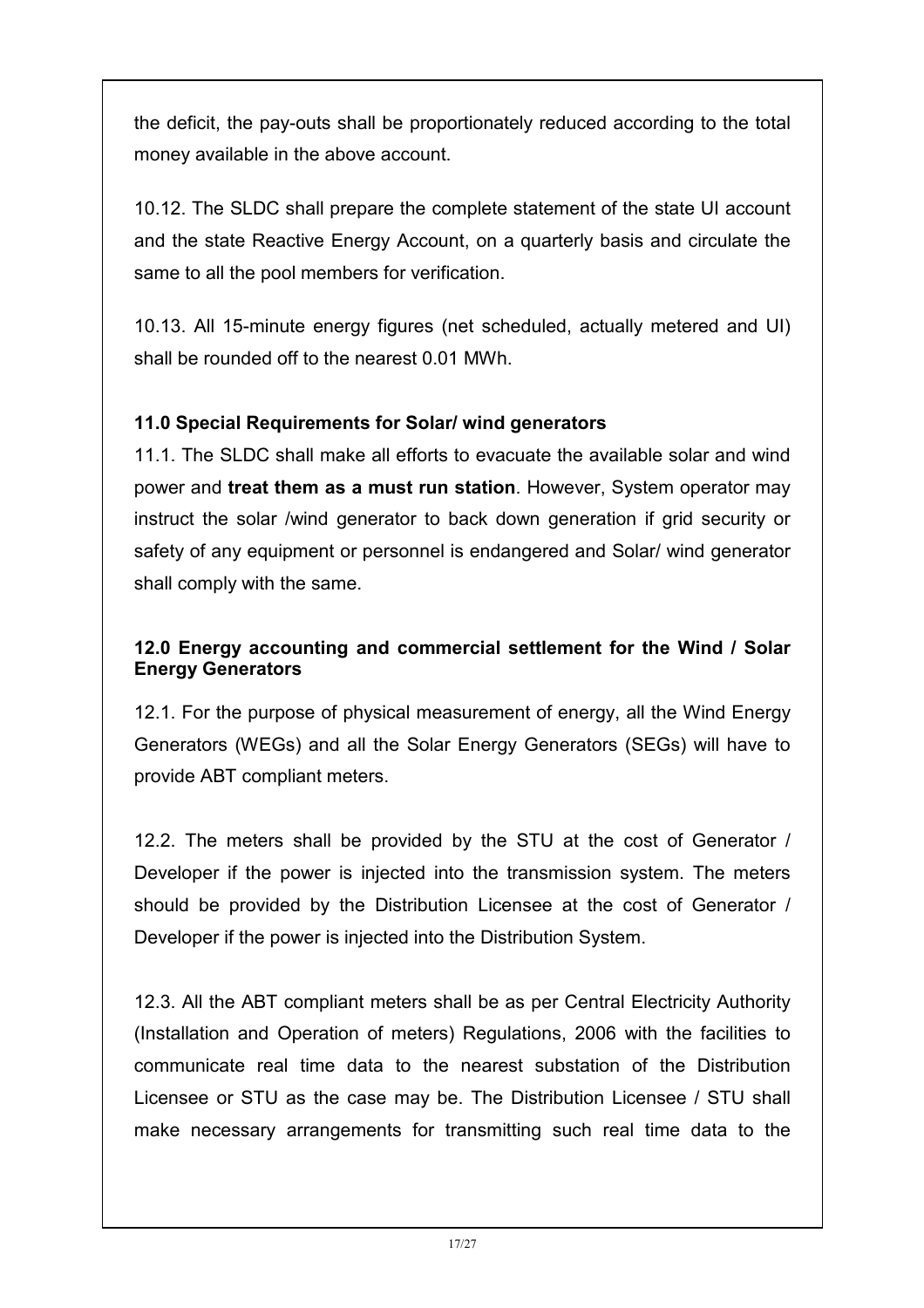the deficit, the pay-outs shall be proportionately reduced according to the total money available in the above account.

10.12. The SLDC shall prepare the complete statement of the state UI account and the state Reactive Energy Account, on a quarterly basis and circulate the same to all the pool members for verification.

10.13. All 15-minute energy figures (net scheduled, actually metered and UI) shall be rounded off to the nearest 0.01 MWh.

#### 11.0 Special Requirements for Solar/ wind generators

11.1. The SLDC shall make all efforts to evacuate the available solar and wind power and treat them as a must run station. However, System operator may instruct the solar /wind generator to back down generation if grid security or safety of any equipment or personnel is endangered and Solar/ wind generator shall comply with the same.

#### 12.0 Energy accounting and commercial settlement for the Wind / Solar Energy Generators

12.1. For the purpose of physical measurement of energy, all the Wind Energy Generators (WEGs) and all the Solar Energy Generators (SEGs) will have to provide ABT compliant meters.

12.2. The meters shall be provided by the STU at the cost of Generator / Developer if the power is injected into the transmission system. The meters should be provided by the Distribution Licensee at the cost of Generator / Developer if the power is injected into the Distribution System.

12.3. All the ABT compliant meters shall be as per Central Electricity Authority (Installation and Operation of meters) Regulations, 2006 with the facilities to communicate real time data to the nearest substation of the Distribution Licensee or STU as the case may be. The Distribution Licensee / STU shall make necessary arrangements for transmitting such real time data to the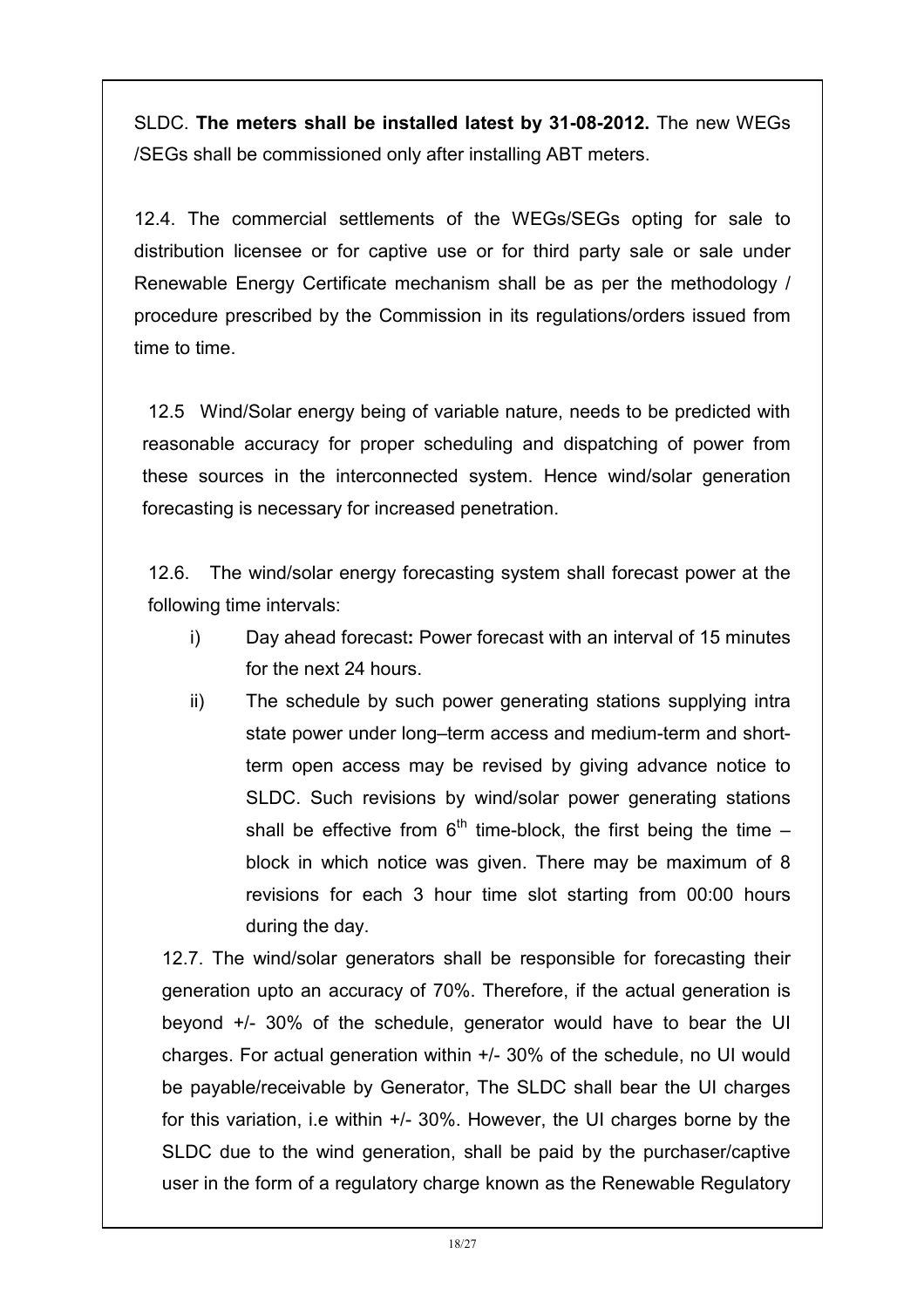SLDC. The meters shall be installed latest by 31-08-2012. The new WEGs /SEGs shall be commissioned only after installing ABT meters.

12.4. The commercial settlements of the WEGs/SEGs opting for sale to distribution licensee or for captive use or for third party sale or sale under Renewable Energy Certificate mechanism shall be as per the methodology / procedure prescribed by the Commission in its regulations/orders issued from time to time.

12.5 Wind/Solar energy being of variable nature, needs to be predicted with reasonable accuracy for proper scheduling and dispatching of power from these sources in the interconnected system. Hence wind/solar generation forecasting is necessary for increased penetration.

12.6. The wind/solar energy forecasting system shall forecast power at the following time intervals:

- i) Day ahead forecast: Power forecast with an interval of 15 minutes for the next 24 hours.
- ii) The schedule by such power generating stations supplying intra state power under long–term access and medium-term and shortterm open access may be revised by giving advance notice to SLDC. Such revisions by wind/solar power generating stations shall be effective from  $6<sup>th</sup>$  time-block, the first being the time – block in which notice was given. There may be maximum of 8 revisions for each 3 hour time slot starting from 00:00 hours during the day.

12.7. The wind/solar generators shall be responsible for forecasting their generation upto an accuracy of 70%. Therefore, if the actual generation is beyond +/- 30% of the schedule, generator would have to bear the UI charges. For actual generation within +/- 30% of the schedule, no UI would be payable/receivable by Generator, The SLDC shall bear the UI charges for this variation, i.e within +/- 30%. However, the UI charges borne by the SLDC due to the wind generation, shall be paid by the purchaser/captive user in the form of a regulatory charge known as the Renewable Regulatory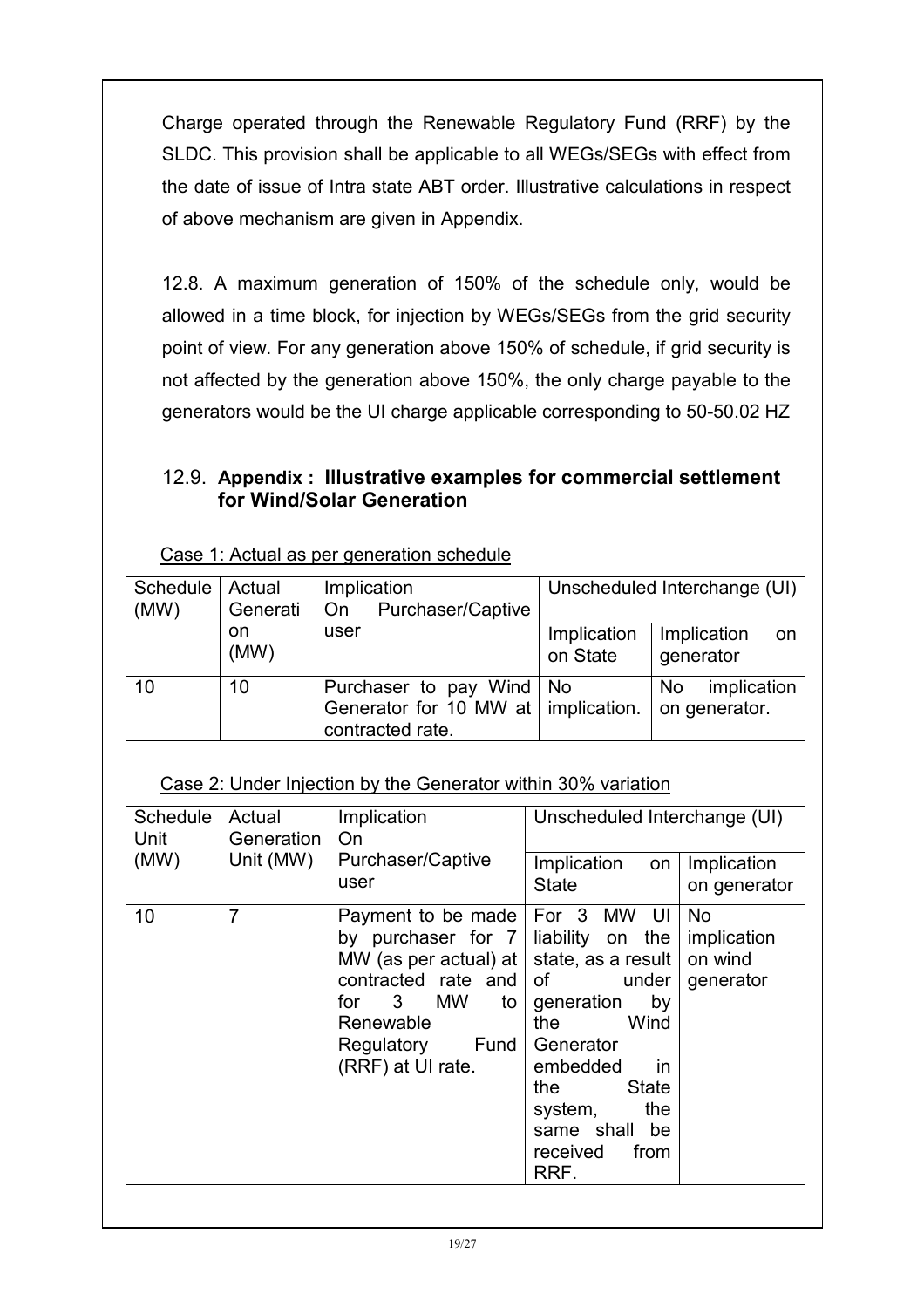Charge operated through the Renewable Regulatory Fund (RRF) by the SLDC. This provision shall be applicable to all WEGs/SEGs with effect from the date of issue of Intra state ABT order. Illustrative calculations in respect of above mechanism are given in Appendix.

12.8. A maximum generation of 150% of the schedule only, would be allowed in a time block, for injection by WEGs/SEGs from the grid security point of view. For any generation above 150% of schedule, if grid security is not affected by the generation above 150%, the only charge payable to the generators would be the UI charge applicable corresponding to 50-50.02 HZ

### 12.9. Appendix : Illustrative examples for commercial settlement for Wind/Solar Generation

| Schedule<br>(MW) | Actual<br>Generati | Implication<br>Purchaser/Captive<br>∣ On                                                | Unscheduled Interchange (UI) |                                    |
|------------------|--------------------|-----------------------------------------------------------------------------------------|------------------------------|------------------------------------|
|                  | on<br>(MW)         | user                                                                                    | Implication<br>on State      | Implication<br>on<br>generator     |
| 10               | 10                 | Purchaser to pay Wind   No<br>Generator for 10 MW at   implication.<br>contracted rate. |                              | implication<br>No<br>on generator. |

Case 1: Actual as per generation schedule

#### Case 2: Under Injection by the Generator within 30% variation

| Schedule<br>Unit | Actual<br><b>Generation</b> | Implication<br>On                                                                                                                                                                                                            | Unscheduled Interchange (UI)                                                                                                                                               |                                                  |
|------------------|-----------------------------|------------------------------------------------------------------------------------------------------------------------------------------------------------------------------------------------------------------------------|----------------------------------------------------------------------------------------------------------------------------------------------------------------------------|--------------------------------------------------|
| (MW)             | Unit (MW)                   | Purchaser/Captive<br>user                                                                                                                                                                                                    | Implication<br>on<br><b>State</b>                                                                                                                                          | Implication<br>on generator                      |
| 10               | $\overline{7}$              | Payment to be made<br>by purchaser for $7$ liability on the<br>MW (as per actual) at $\vert$ state, as a result $\vert$<br>contracted rate and<br>for 3 MW<br>to l<br>Renewable<br>Fund  <br>Regulatory<br>(RRF) at UI rate. | For 3 MW UI<br>of under<br>generation<br>by<br>Wind<br>the<br>Generator<br>embedded<br>- in<br>State<br>the<br>system,<br>the<br>same shall be<br>from<br>received<br>RRF. | <b>No</b><br>implication<br>on wind<br>generator |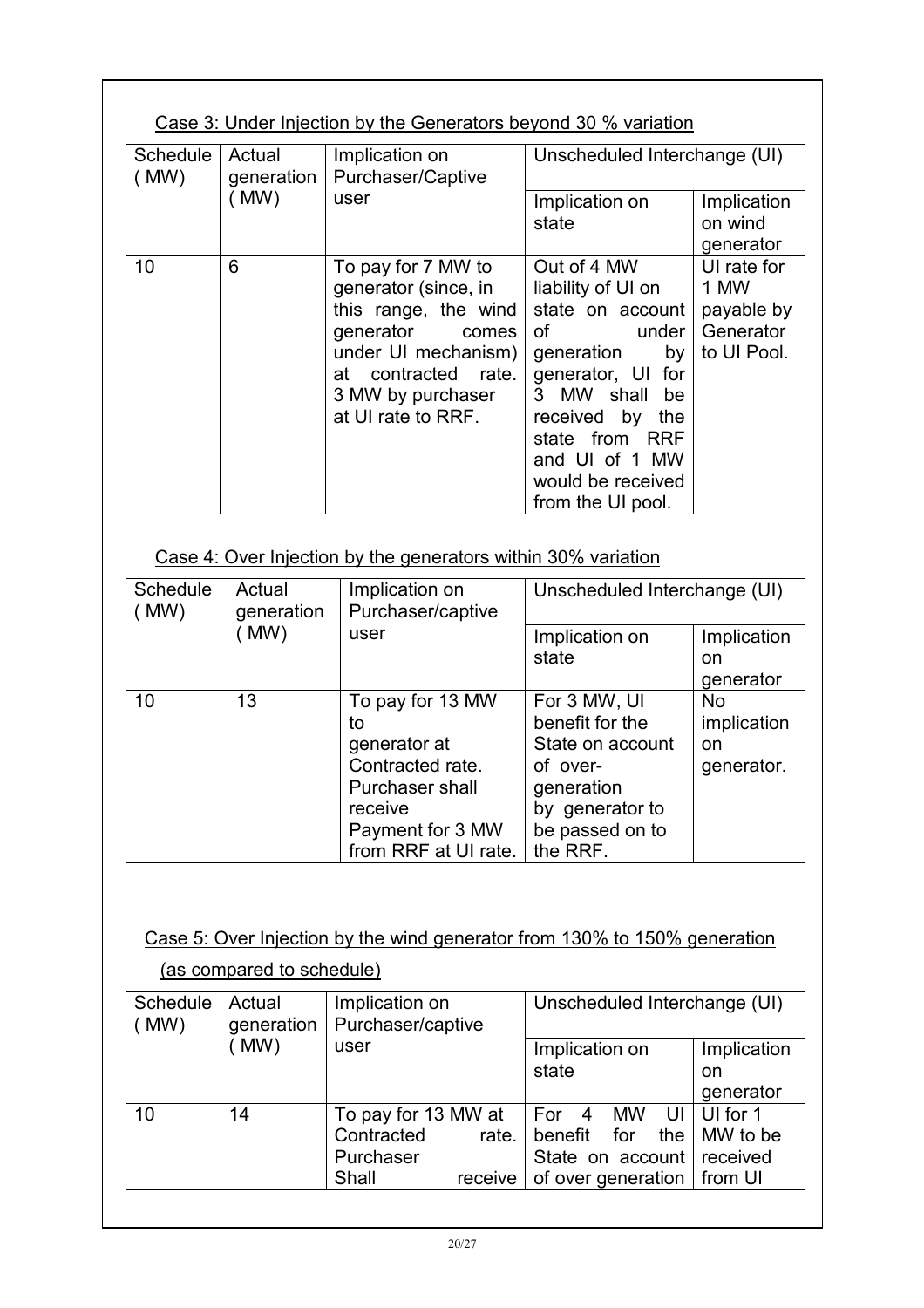## Case 3: Under Injection by the Generators beyond 30 % variation

| Schedule<br>(MW) | Actual<br>generation | Implication on<br>Purchaser/Captive                                                                                                                                               | Unscheduled Interchange (UI)                                                                                                                                                                                                       |                                                               |
|------------------|----------------------|-----------------------------------------------------------------------------------------------------------------------------------------------------------------------------------|------------------------------------------------------------------------------------------------------------------------------------------------------------------------------------------------------------------------------------|---------------------------------------------------------------|
|                  | (MW)                 | user                                                                                                                                                                              | Implication on<br>state                                                                                                                                                                                                            | Implication<br>on wind<br>generator                           |
| 10               | 6                    | To pay for 7 MW to<br>generator (since, in<br>this range, the wind<br>generator<br>comes<br>under UI mechanism)<br>at contracted rate.<br>3 MW by purchaser<br>at UI rate to RRF. | Out of 4 MW<br>liability of UI on<br>state on account<br>of<br>under<br>generation<br>by<br>generator, UI for<br>3 MW shall be<br>received by<br>the<br>state from RRF<br>and UI of 1 MW<br>would be received<br>from the UI pool. | UI rate for<br>1 MW<br>payable by<br>Generator<br>to UI Pool. |

#### Case 4: Over Injection by the generators within 30% variation

| <b>Schedule</b><br>Actual<br>generation<br>(MW) |      | Implication on<br>Purchaser/captive | Unscheduled Interchange (UI) |             |
|-------------------------------------------------|------|-------------------------------------|------------------------------|-------------|
|                                                 | (MW) | user                                | Implication on               | Implication |
|                                                 |      |                                     | state                        | on          |
|                                                 |      |                                     |                              | generator   |
| 10                                              | 13   | To pay for 13 MW                    | For 3 MW, UI                 | <b>No</b>   |
|                                                 |      | to                                  | benefit for the              | implication |
|                                                 |      | generator at                        | State on account             | on          |
|                                                 |      | Contracted rate.                    | of over-                     | generator.  |
|                                                 |      | Purchaser shall                     | generation                   |             |
|                                                 |      | receive                             | by generator to              |             |
|                                                 |      | Payment for 3 MW                    | be passed on to              |             |
|                                                 |      | from RRF at UI rate.                | the RRF.                     |             |

#### Case 5: Over Injection by the wind generator from 130% to 150% generation

| Schedule<br>(MW) | Actual<br>generation | Implication on<br>Purchaser/captive |         | Unscheduled Interchange (UI) |                      |
|------------------|----------------------|-------------------------------------|---------|------------------------------|----------------------|
|                  | (MW)                 | user                                |         | Implication on               | Implication          |
|                  |                      |                                     |         | state                        | on                   |
|                  |                      |                                     |         |                              | generator            |
| 10               | 14                   | To pay for 13 MW at                 |         | For 4 MW                     | UI   UI for 1        |
|                  |                      | Contracted                          | rate.   | benefit for                  | the $\vert$ MW to be |
|                  |                      | Purchaser                           |         | State on account received    |                      |
|                  |                      | Shall                               | receive | of over generation   from UI |                      |

#### (as compared to schedule)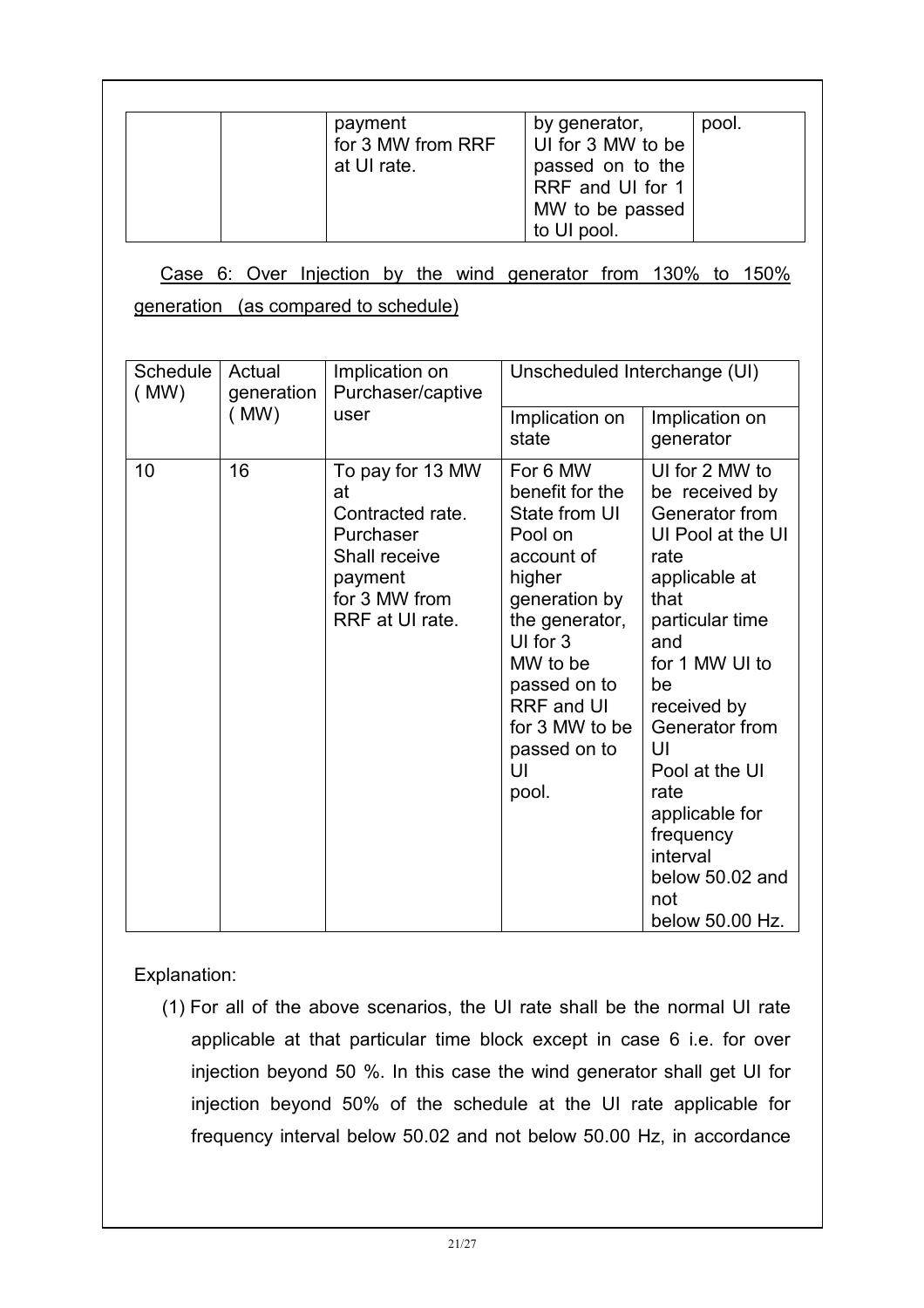| payment<br>for 3 MW from RRF<br>at UI rate. | by generator,<br>UI for 3 MW to be<br>passed on to the<br>RRF and UI for 1<br>MW to be passed | pool. |
|---------------------------------------------|-----------------------------------------------------------------------------------------------|-------|
|                                             | to UI pool.                                                                                   |       |

Case 6: Over Injection by the wind generator from 130% to 150%

generation (as compared to schedule)

| Schedule<br>Actual<br>Implication on<br>(MW)<br>Purchaser/captive<br>generation |      | Unscheduled Interchange (UI)                                                                                            |                                                                                                                                                                                                                                  |                                                                                                                                                                                                                                                                                                                     |
|---------------------------------------------------------------------------------|------|-------------------------------------------------------------------------------------------------------------------------|----------------------------------------------------------------------------------------------------------------------------------------------------------------------------------------------------------------------------------|---------------------------------------------------------------------------------------------------------------------------------------------------------------------------------------------------------------------------------------------------------------------------------------------------------------------|
|                                                                                 | (MW) | user                                                                                                                    | Implication on<br>state                                                                                                                                                                                                          | Implication on<br>generator                                                                                                                                                                                                                                                                                         |
| 10                                                                              | 16   | To pay for 13 MW<br>at<br>Contracted rate.<br>Purchaser<br>Shall receive<br>payment<br>for 3 MW from<br>RRF at UI rate. | For 6 MW<br>benefit for the<br>State from UI<br>Pool on<br>account of<br>higher<br>generation by<br>the generator,<br>UI for 3<br>MW to be<br>passed on to<br><b>RRF</b> and UI<br>for 3 MW to be<br>passed on to<br>UI<br>pool. | UI for 2 MW to<br>be received by<br>Generator from<br>UI Pool at the UI<br>rate<br>applicable at<br>that<br>particular time<br>and<br>for 1 MW UI to<br>be<br>received by<br>Generator from<br>UI<br>Pool at the UI<br>rate<br>applicable for<br>frequency<br>interval<br>below 50.02 and<br>not<br>below 50.00 Hz. |

#### Explanation:

(1) For all of the above scenarios, the UI rate shall be the normal UI rate applicable at that particular time block except in case 6 i.e. for over injection beyond 50 %. In this case the wind generator shall get UI for injection beyond 50% of the schedule at the UI rate applicable for frequency interval below 50.02 and not below 50.00 Hz, in accordance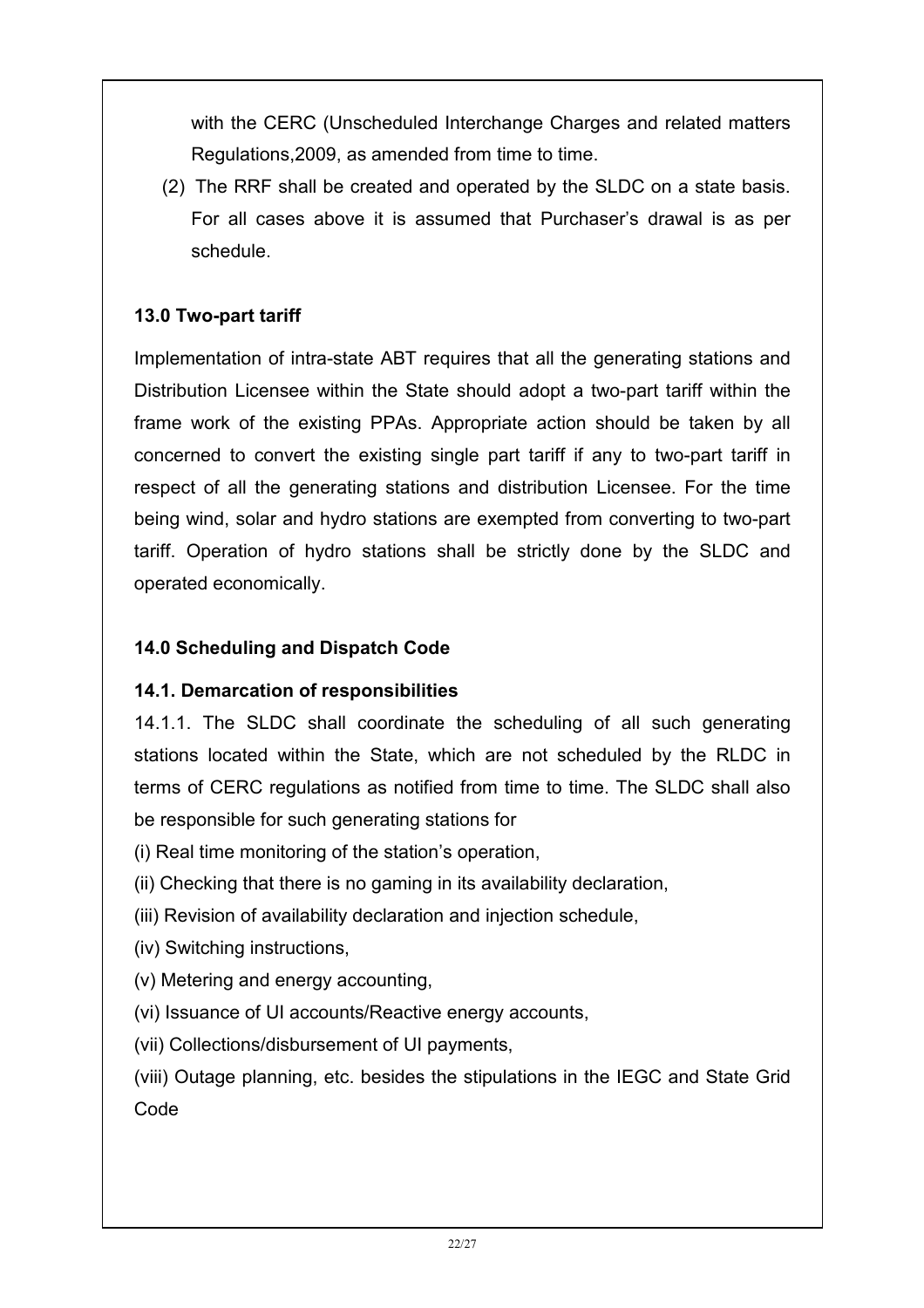with the CERC (Unscheduled Interchange Charges and related matters Regulations,2009, as amended from time to time.

(2) The RRF shall be created and operated by the SLDC on a state basis. For all cases above it is assumed that Purchaser's drawal is as per schedule.

### 13.0 Two-part tariff

Implementation of intra-state ABT requires that all the generating stations and Distribution Licensee within the State should adopt a two-part tariff within the frame work of the existing PPAs. Appropriate action should be taken by all concerned to convert the existing single part tariff if any to two-part tariff in respect of all the generating stations and distribution Licensee. For the time being wind, solar and hydro stations are exempted from converting to two-part tariff. Operation of hydro stations shall be strictly done by the SLDC and operated economically.

#### 14.0 Scheduling and Dispatch Code

#### 14.1. Demarcation of responsibilities

14.1.1. The SLDC shall coordinate the scheduling of all such generating stations located within the State, which are not scheduled by the RLDC in terms of CERC regulations as notified from time to time. The SLDC shall also be responsible for such generating stations for

- (i) Real time monitoring of the station's operation,
- (ii) Checking that there is no gaming in its availability declaration,
- (iii) Revision of availability declaration and injection schedule,
- (iv) Switching instructions,
- (v) Metering and energy accounting,
- (vi) Issuance of UI accounts/Reactive energy accounts,
- (vii) Collections/disbursement of UI payments,

(viii) Outage planning, etc. besides the stipulations in the IEGC and State Grid Code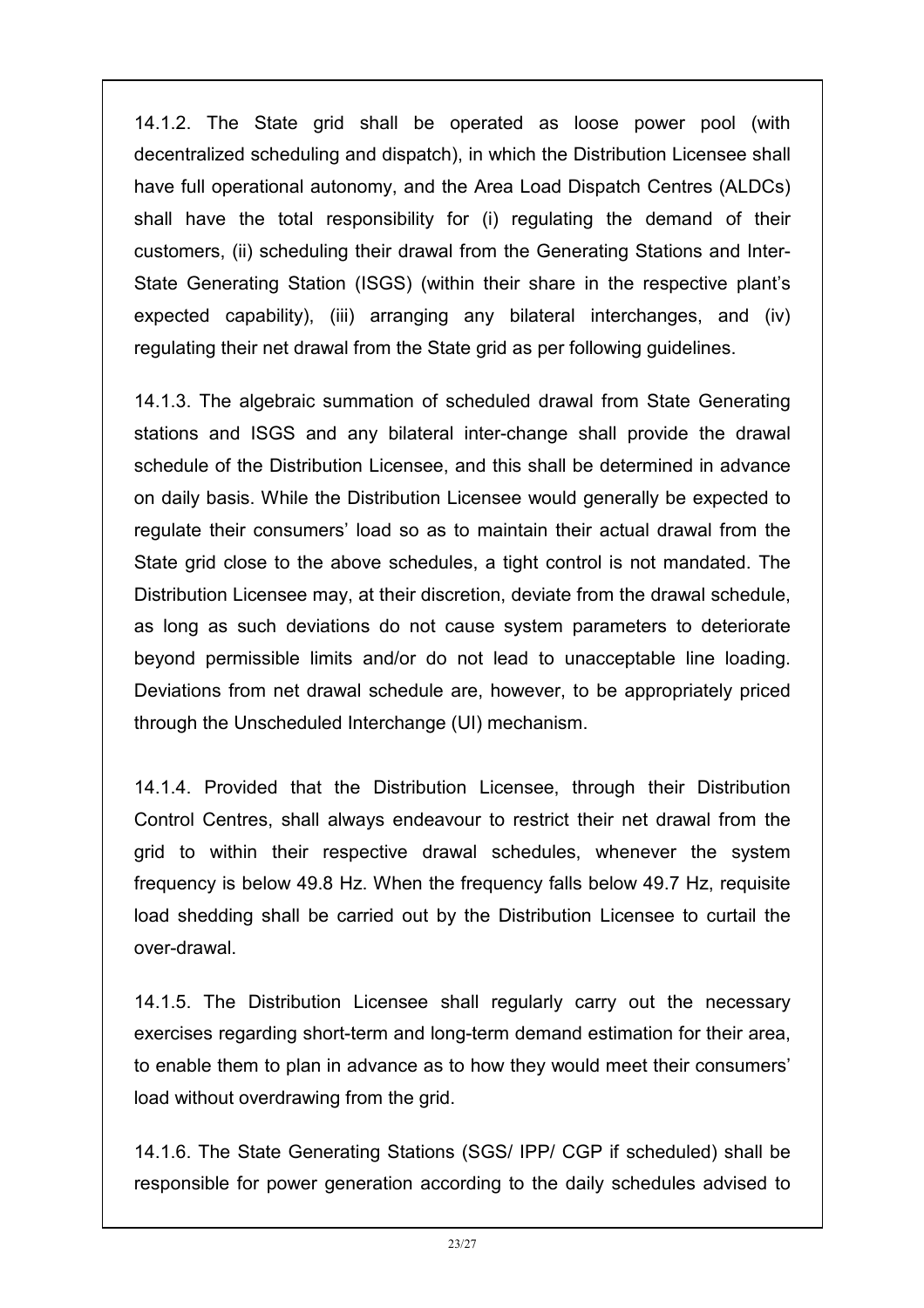14.1.2. The State grid shall be operated as loose power pool (with decentralized scheduling and dispatch), in which the Distribution Licensee shall have full operational autonomy, and the Area Load Dispatch Centres (ALDCs) shall have the total responsibility for (i) regulating the demand of their customers, (ii) scheduling their drawal from the Generating Stations and Inter-State Generating Station (ISGS) (within their share in the respective plant's expected capability), (iii) arranging any bilateral interchanges, and (iv) regulating their net drawal from the State grid as per following guidelines.

14.1.3. The algebraic summation of scheduled drawal from State Generating stations and ISGS and any bilateral inter-change shall provide the drawal schedule of the Distribution Licensee, and this shall be determined in advance on daily basis. While the Distribution Licensee would generally be expected to regulate their consumers' load so as to maintain their actual drawal from the State grid close to the above schedules, a tight control is not mandated. The Distribution Licensee may, at their discretion, deviate from the drawal schedule, as long as such deviations do not cause system parameters to deteriorate beyond permissible limits and/or do not lead to unacceptable line loading. Deviations from net drawal schedule are, however, to be appropriately priced through the Unscheduled Interchange (UI) mechanism.

14.1.4. Provided that the Distribution Licensee, through their Distribution Control Centres, shall always endeavour to restrict their net drawal from the grid to within their respective drawal schedules, whenever the system frequency is below 49.8 Hz. When the frequency falls below 49.7 Hz, requisite load shedding shall be carried out by the Distribution Licensee to curtail the over-drawal.

14.1.5. The Distribution Licensee shall regularly carry out the necessary exercises regarding short-term and long-term demand estimation for their area, to enable them to plan in advance as to how they would meet their consumers' load without overdrawing from the grid.

14.1.6. The State Generating Stations (SGS/ IPP/ CGP if scheduled) shall be responsible for power generation according to the daily schedules advised to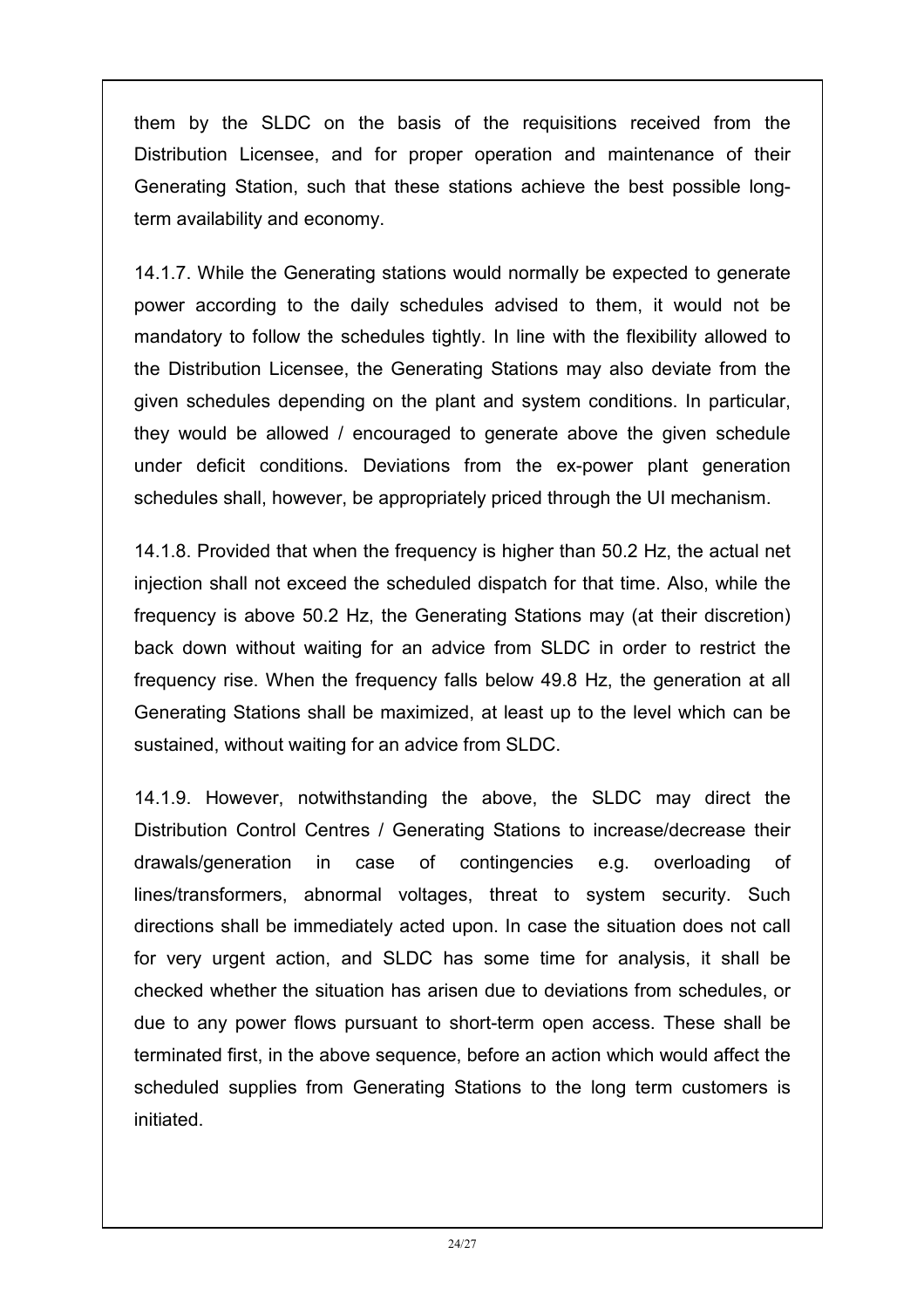them by the SLDC on the basis of the requisitions received from the Distribution Licensee, and for proper operation and maintenance of their Generating Station, such that these stations achieve the best possible longterm availability and economy.

14.1.7. While the Generating stations would normally be expected to generate power according to the daily schedules advised to them, it would not be mandatory to follow the schedules tightly. In line with the flexibility allowed to the Distribution Licensee, the Generating Stations may also deviate from the given schedules depending on the plant and system conditions. In particular, they would be allowed / encouraged to generate above the given schedule under deficit conditions. Deviations from the ex-power plant generation schedules shall, however, be appropriately priced through the UI mechanism.

14.1.8. Provided that when the frequency is higher than 50.2 Hz, the actual net injection shall not exceed the scheduled dispatch for that time. Also, while the frequency is above 50.2 Hz, the Generating Stations may (at their discretion) back down without waiting for an advice from SLDC in order to restrict the frequency rise. When the frequency falls below 49.8 Hz, the generation at all Generating Stations shall be maximized, at least up to the level which can be sustained, without waiting for an advice from SLDC.

14.1.9. However, notwithstanding the above, the SLDC may direct the Distribution Control Centres / Generating Stations to increase/decrease their drawals/generation in case of contingencies e.g. overloading of lines/transformers, abnormal voltages, threat to system security. Such directions shall be immediately acted upon. In case the situation does not call for very urgent action, and SLDC has some time for analysis, it shall be checked whether the situation has arisen due to deviations from schedules, or due to any power flows pursuant to short-term open access. These shall be terminated first, in the above sequence, before an action which would affect the scheduled supplies from Generating Stations to the long term customers is initiated.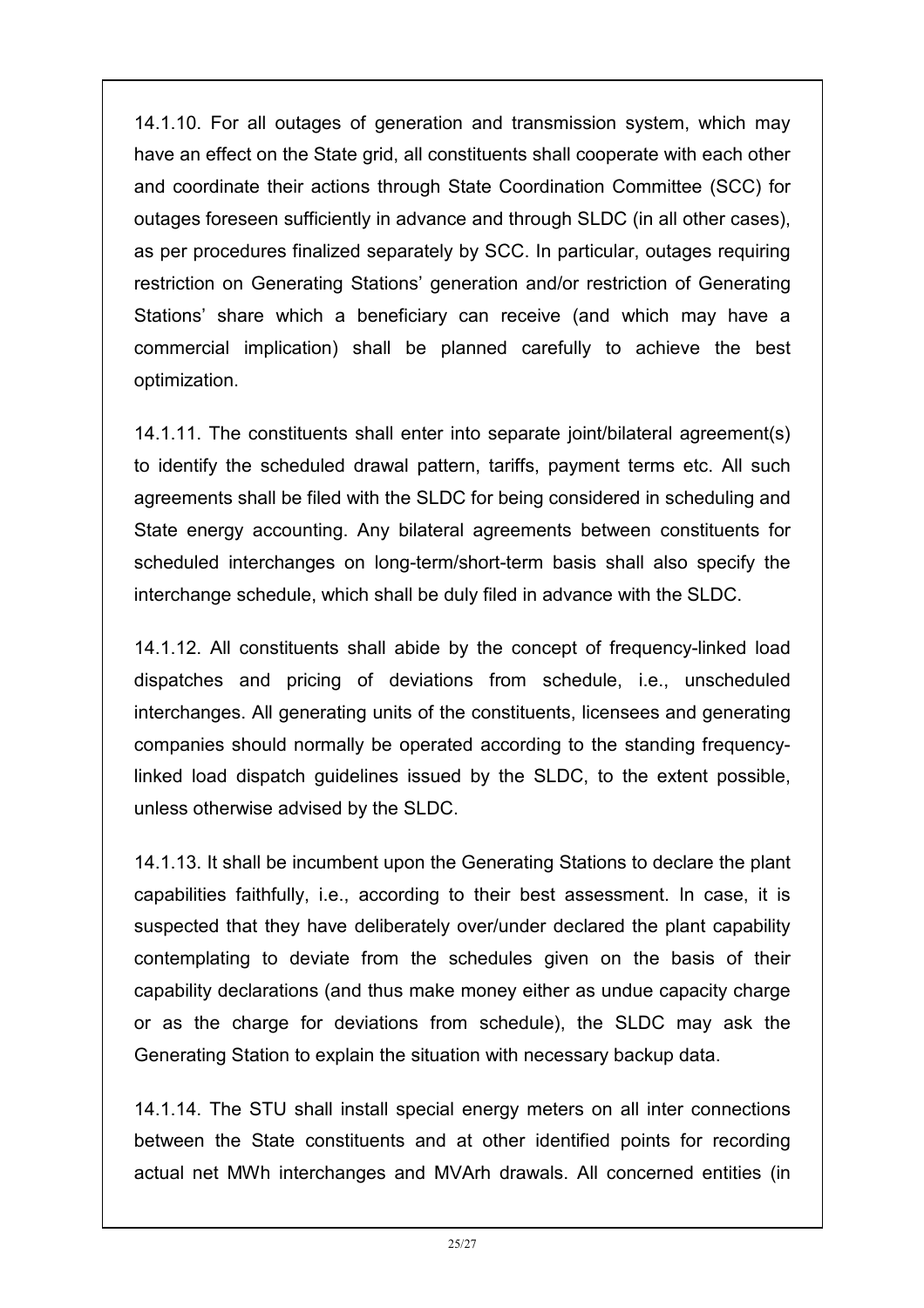14.1.10. For all outages of generation and transmission system, which may have an effect on the State grid, all constituents shall cooperate with each other and coordinate their actions through State Coordination Committee (SCC) for outages foreseen sufficiently in advance and through SLDC (in all other cases), as per procedures finalized separately by SCC. In particular, outages requiring restriction on Generating Stations' generation and/or restriction of Generating Stations' share which a beneficiary can receive (and which may have a commercial implication) shall be planned carefully to achieve the best optimization.

14.1.11. The constituents shall enter into separate joint/bilateral agreement(s) to identify the scheduled drawal pattern, tariffs, payment terms etc. All such agreements shall be filed with the SLDC for being considered in scheduling and State energy accounting. Any bilateral agreements between constituents for scheduled interchanges on long-term/short-term basis shall also specify the interchange schedule, which shall be duly filed in advance with the SLDC.

14.1.12. All constituents shall abide by the concept of frequency-linked load dispatches and pricing of deviations from schedule, i.e., unscheduled interchanges. All generating units of the constituents, licensees and generating companies should normally be operated according to the standing frequencylinked load dispatch guidelines issued by the SLDC, to the extent possible, unless otherwise advised by the SLDC.

14.1.13. It shall be incumbent upon the Generating Stations to declare the plant capabilities faithfully, i.e., according to their best assessment. In case, it is suspected that they have deliberately over/under declared the plant capability contemplating to deviate from the schedules given on the basis of their capability declarations (and thus make money either as undue capacity charge or as the charge for deviations from schedule), the SLDC may ask the Generating Station to explain the situation with necessary backup data.

14.1.14. The STU shall install special energy meters on all inter connections between the State constituents and at other identified points for recording actual net MWh interchanges and MVArh drawals. All concerned entities (in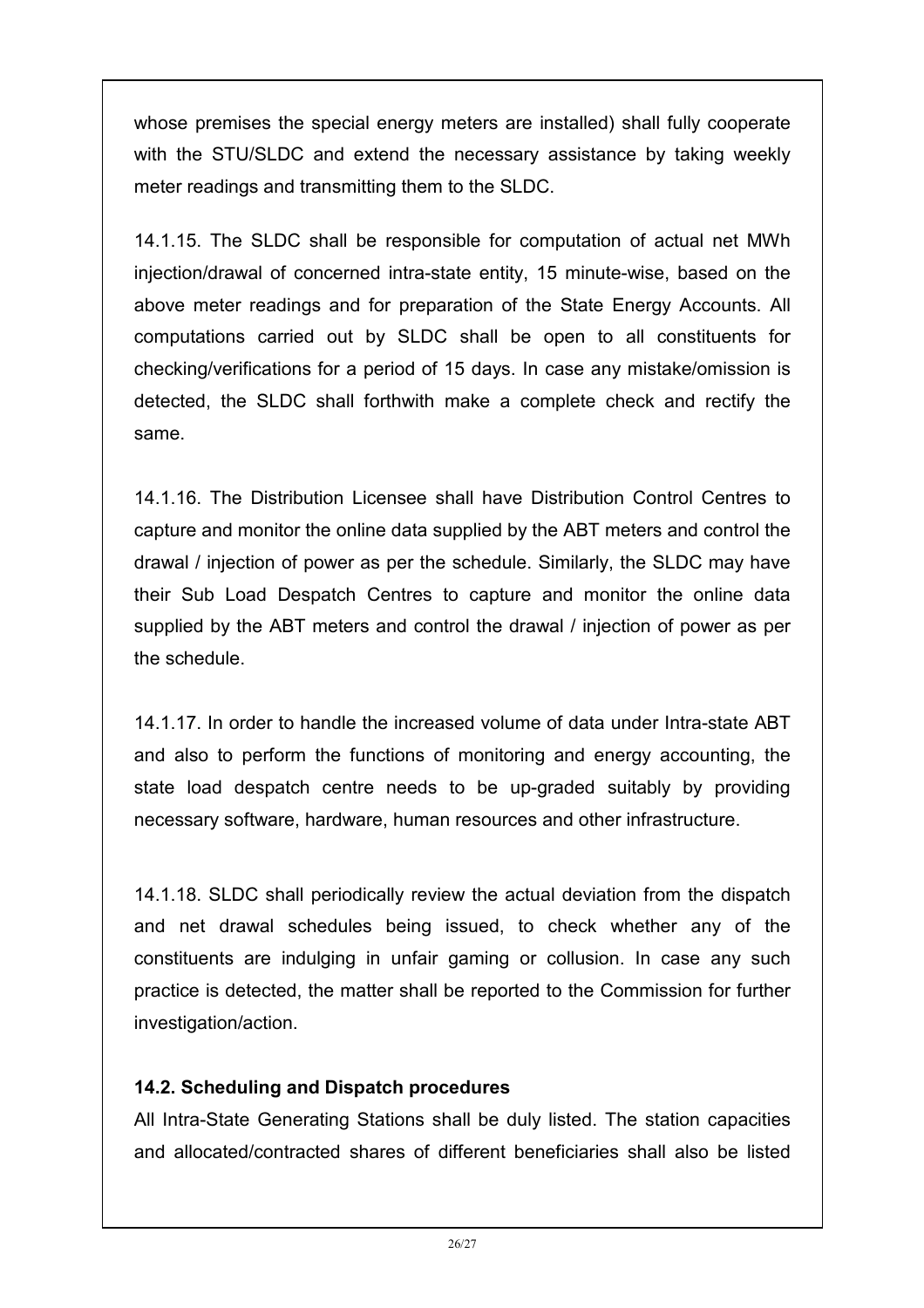whose premises the special energy meters are installed) shall fully cooperate with the STU/SLDC and extend the necessary assistance by taking weekly meter readings and transmitting them to the SLDC.

14.1.15. The SLDC shall be responsible for computation of actual net MWh injection/drawal of concerned intra-state entity, 15 minute-wise, based on the above meter readings and for preparation of the State Energy Accounts. All computations carried out by SLDC shall be open to all constituents for checking/verifications for a period of 15 days. In case any mistake/omission is detected, the SLDC shall forthwith make a complete check and rectify the same.

14.1.16. The Distribution Licensee shall have Distribution Control Centres to capture and monitor the online data supplied by the ABT meters and control the drawal / injection of power as per the schedule. Similarly, the SLDC may have their Sub Load Despatch Centres to capture and monitor the online data supplied by the ABT meters and control the drawal / injection of power as per the schedule.

14.1.17. In order to handle the increased volume of data under Intra-state ABT and also to perform the functions of monitoring and energy accounting, the state load despatch centre needs to be up-graded suitably by providing necessary software, hardware, human resources and other infrastructure.

14.1.18. SLDC shall periodically review the actual deviation from the dispatch and net drawal schedules being issued, to check whether any of the constituents are indulging in unfair gaming or collusion. In case any such practice is detected, the matter shall be reported to the Commission for further investigation/action.

#### 14.2. Scheduling and Dispatch procedures

All Intra-State Generating Stations shall be duly listed. The station capacities and allocated/contracted shares of different beneficiaries shall also be listed